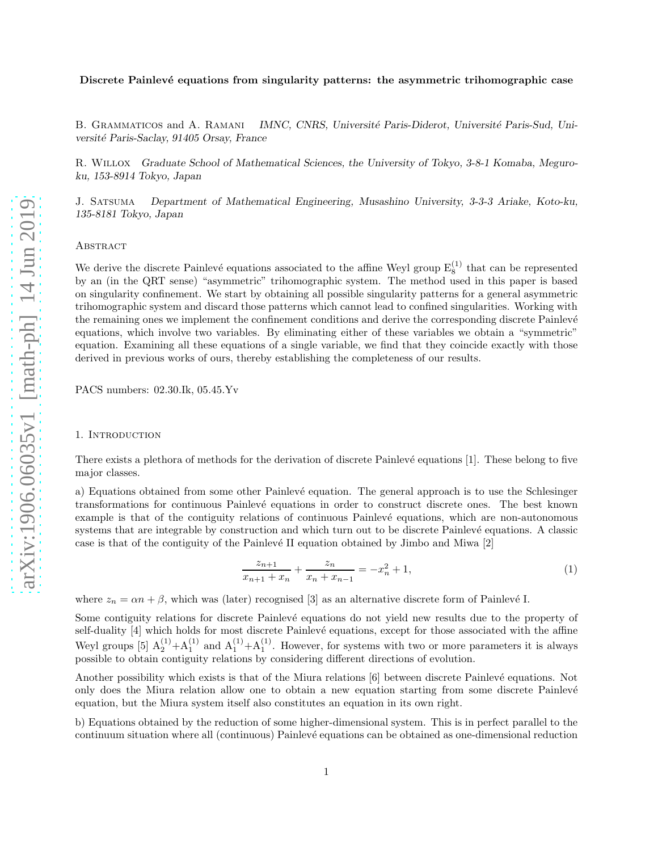### Discrete Painlevé equations from singularity patterns: the asymmetric trihomographic case

B. GRAMMATICOS and A. RAMANI IMNC, CNRS, Université Paris-Diderot, Université Paris-Sud, Université Paris-Saclay, 91405 Orsay, France

R. Willox Graduate School of Mathematical Sciences, the University of Tokyo, 3-8-1 Komaba, Meguroku, 153-8914 Tokyo, Japan

J. Satsuma Department of Mathematical Engineering, Musashino University, 3-3-3 Ariake, Koto-ku, 135-8181 Tokyo, Japan

## **ABSTRACT**

We derive the discrete Painlevé equations associated to the affine Weyl group  $E_8^{(1)}$  that can be represented by an (in the QRT sense) "asymmetric" trihomographic system. The method used in this paper is based on singularity confinement. We start by obtaining all possible singularity patterns for a general asymmetric trihomographic system and discard those patterns which cannot lead to confined singularities. Working with the remaining ones we implement the confinement conditions and derive the corresponding discrete Painlevé equations, which involve two variables. By eliminating either of these variables we obtain a "symmetric" equation. Examining all these equations of a single variable, we find that they coincide exactly with those derived in previous works of ours, thereby establishing the completeness of our results.

PACS numbers: 02.30.Ik, 05.45.Yv

### 1. Introduction

There exists a plethora of methods for the derivation of discrete Painlevé equations [1]. These belong to five major classes.

a) Equations obtained from some other Painlevé equation. The general approach is to use the Schlesinger transformations for continuous Painlev´e equations in order to construct discrete ones. The best known example is that of the contiguity relations of continuous Painlevé equations, which are non-autonomous systems that are integrable by construction and which turn out to be discrete Painlevé equations. A classic case is that of the contiguity of the Painlevé II equation obtained by Jimbo and Miwa  $[2]$ 

$$
\frac{z_{n+1}}{x_{n+1} + x_n} + \frac{z_n}{x_n + x_{n-1}} = -x_n^2 + 1,\tag{1}
$$

where  $z_n = \alpha n + \beta$ , which was (later) recognised [3] as an alternative discrete form of Painlevé I.

Some contiguity relations for discrete Painlevé equations do not yield new results due to the property of self-duality [4] which holds for most discrete Painlevé equations, except for those associated with the affine Weyl groups [5]  $A_2^{(1)}+A_1^{(1)}$  and  $A_1^{(1)}+A_1^{(1)}$ . However, for systems with two or more parameters it is always possible to obtain contiguity relations by considering different directions of evolution.

Another possibility which exists is that of the Miura relations [6] between discrete Painlevé equations. Not only does the Miura relation allow one to obtain a new equation starting from some discrete Painlevé equation, but the Miura system itself also constitutes an equation in its own right.

b) Equations obtained by the reduction of some higher-dimensional system. This is in perfect parallel to the continuum situation where all (continuous) Painlevé equations can be obtained as one-dimensional reduction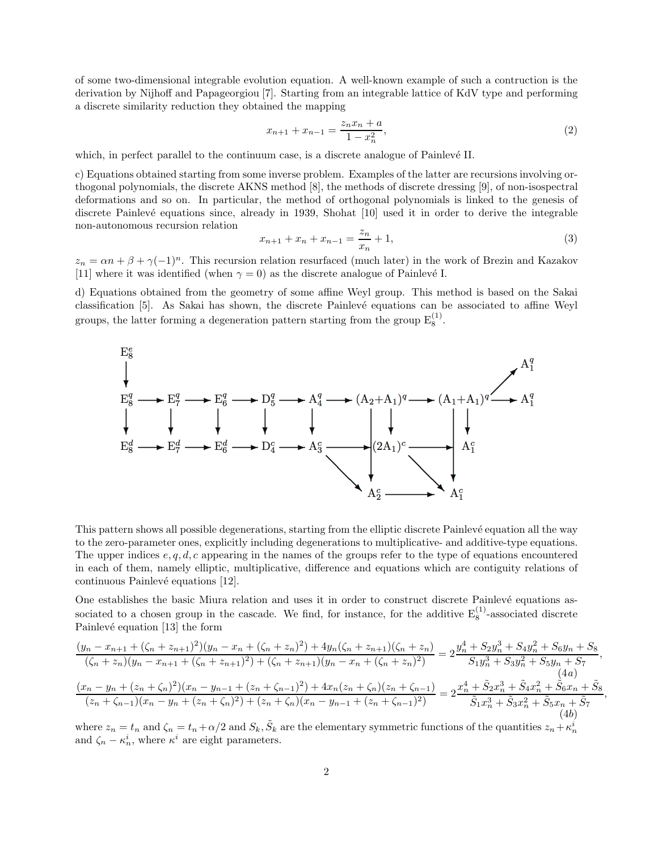of some two-dimensional integrable evolution equation. A well-known example of such a contruction is the derivation by Nijhoff and Papageorgiou [7]. Starting from an integrable lattice of KdV type and performing a discrete similarity reduction they obtained the mapping

$$
x_{n+1} + x_{n-1} = \frac{z_n x_n + a}{1 - x_n^2},\tag{2}
$$

which, in perfect parallel to the continuum case, is a discrete analogue of Painlevé II.

c) Equations obtained starting from some inverse problem. Examples of the latter are recursions involving orthogonal polynomials, the discrete AKNS method [8], the methods of discrete dressing [9], of non-isospectral deformations and so on. In particular, the method of orthogonal polynomials is linked to the genesis of discrete Painlevé equations since, already in 1939, Shohat [10] used it in order to derive the integrable non-autonomous recursion relation

$$
x_{n+1} + x_n + x_{n-1} = \frac{z_n}{x_n} + 1,\tag{3}
$$

 $z_n = \alpha n + \beta + \gamma (-1)^n$ . This recursion relation resurfaced (much later) in the work of Brezin and Kazakov [11] where it was identified (when  $\gamma = 0$ ) as the discrete analogue of Painlevé I.

d) Equations obtained from the geometry of some affine Weyl group. This method is based on the Sakai classification [5]. As Sakai has shown, the discrete Painlev´e equations can be associated to affine Weyl groups, the latter forming a degeneration pattern starting from the group  $E_8^{(1)}$ .



This pattern shows all possible degenerations, starting from the elliptic discrete Painlevé equation all the way to the zero-parameter ones, explicitly including degenerations to multiplicative- and additive-type equations. The upper indices  $e, q, d, c$  appearing in the names of the groups refer to the type of equations encountered in each of them, namely elliptic, multiplicative, difference and equations which are contiguity relations of continuous Painlevé equations [12].

One establishes the basic Miura relation and uses it in order to construct discrete Painlevé equations associated to a chosen group in the cascade. We find, for instance, for the additive  $E_8^{(1)}$ -associated discrete Painlevé equation [13] the form

$$
\frac{(y_n - x_{n+1} + (\zeta_n + z_{n+1})^2)(y_n - x_n + (\zeta_n + z_n)^2) + 4y_n(\zeta_n + z_{n+1})(\zeta_n + z_n)}{(\zeta_n + z_n)(y_n - x_{n+1} + (\zeta_n + z_{n+1})^2) + (\zeta_n + z_{n+1})(y_n - x_n + (\zeta_n + z_n)^2)} = 2\frac{y_n^4 + S_2y_n^3 + S_4y_n^2 + S_6y_n + S_8}{S_1y_n^3 + S_3y_n^2 + S_5y_n + S_7}
$$
\n
$$
\frac{(4a)}{(x_n - y_n + (z_n + \zeta_n)^2)(x_n - y_{n-1} + (z_n + \zeta_{n-1})^2) + 4x_n(z_n + \zeta_n)(z_n + \zeta_{n-1})}{(z_n + \zeta_{n-1})(x_n - y_n + (z_n + \zeta_n)^2) + (z_n + \zeta_n)(x_n - y_{n-1} + (z_n + \zeta_{n-1})^2)} = 2\frac{x_n^4 + \tilde{S}_2x_n^3 + \tilde{S}_4x_n^2 + \tilde{S}_6x_n + \tilde{S}_8x_n^2}{\tilde{S}_1x_n^3 + \tilde{S}_3x_n^2 + \tilde{S}_5x_n + \tilde{S}_7}
$$
\n
$$
\frac{(4b)}{(4c)}
$$

,

where  $z_n = t_n$  and  $\zeta_n = t_n + \alpha/2$  and  $S_k$ ,  $\tilde{S}_k$  are the elementary symmetric functions of the quantities  $z_n + \kappa_n^i$ and  $\zeta_n - \kappa_n^i$ , where  $\kappa^i$  are eight parameters.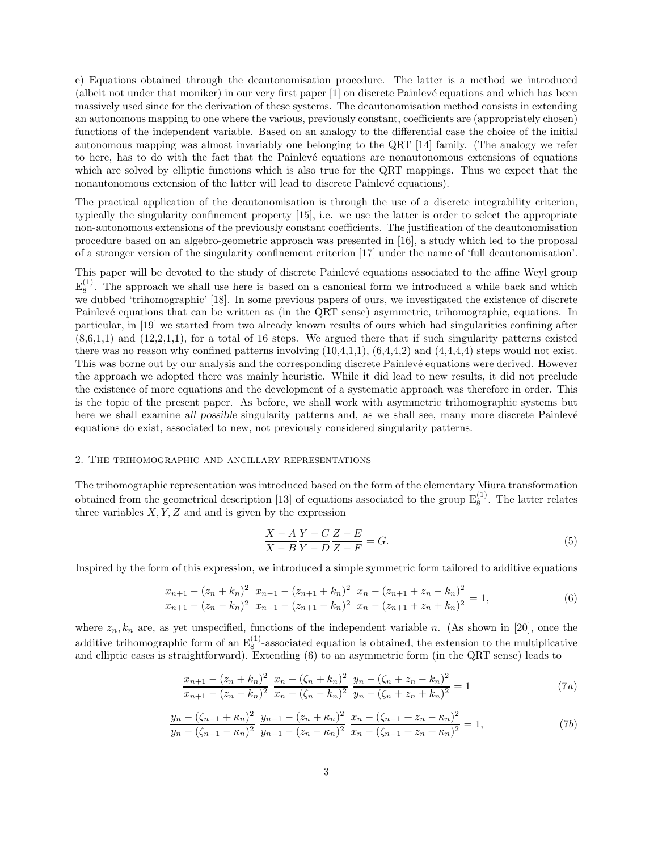e) Equations obtained through the deautonomisation procedure. The latter is a method we introduced (albeit not under that moniker) in our very first paper [1] on discrete Painlev´e equations and which has been massively used since for the derivation of these systems. The deautonomisation method consists in extending an autonomous mapping to one where the various, previously constant, coefficients are (appropriately chosen) functions of the independent variable. Based on an analogy to the differential case the choice of the initial autonomous mapping was almost invariably one belonging to the QRT [14] family. (The analogy we refer to here, has to do with the fact that the Painlevé equations are nonautonomous extensions of equations which are solved by elliptic functions which is also true for the QRT mappings. Thus we expect that the nonautonomous extension of the latter will lead to discrete Painlevé equations).

The practical application of the deautonomisation is through the use of a discrete integrability criterion, typically the singularity confinement property [15], i.e. we use the latter is order to select the appropriate non-autonomous extensions of the previously constant coefficients. The justification of the deautonomisation procedure based on an algebro-geometric approach was presented in [16], a study which led to the proposal of a stronger version of the singularity confinement criterion [17] under the name of 'full deautonomisation'.

This paper will be devoted to the study of discrete Painlevé equations associated to the affine Weyl group  $E_8^{(1)}$ . The approach we shall use here is based on a canonical form we introduced a while back and which we dubbed 'trihomographic' [18]. In some previous papers of ours, we investigated the existence of discrete Painlevé equations that can be written as (in the QRT sense) asymmetric, trihomographic, equations. In particular, in [19] we started from two already known results of ours which had singularities confining after  $(8,6,1,1)$  and  $(12,2,1,1)$ , for a total of 16 steps. We argued there that if such singularity patterns existed there was no reason why confined patterns involving  $(10,4,1,1)$ ,  $(6,4,4,2)$  and  $(4,4,4,4)$  steps would not exist. This was borne out by our analysis and the corresponding discrete Painlevé equations were derived. However the approach we adopted there was mainly heuristic. While it did lead to new results, it did not preclude the existence of more equations and the development of a systematic approach was therefore in order. This is the topic of the present paper. As before, we shall work with asymmetric trihomographic systems but here we shall examine all possible singularity patterns and, as we shall see, many more discrete Painlevé equations do exist, associated to new, not previously considered singularity patterns.

### 2. The trihomographic and ancillary representations

The trihomographic representation was introduced based on the form of the elementary Miura transformation obtained from the geometrical description [13] of equations associated to the group  $E_8^{(1)}$ . The latter relates three variables  $X, Y, Z$  and and is given by the expression

$$
\frac{X-A}{X-B}\frac{Y-C}{Y-D}\frac{Z-E}{Z-F} = G.
$$
\n<sup>(5)</sup>

Inspired by the form of this expression, we introduced a simple symmetric form tailored to additive equations

$$
\frac{x_{n+1} - (z_n + k_n)^2}{x_{n+1} - (z_n - k_n)^2} \frac{x_{n-1} - (z_{n+1} + k_n)^2}{x_{n-1} - (z_{n+1} - k_n)^2} \frac{x_n - (z_{n+1} + z_n - k_n)^2}{x_n - (z_{n+1} + z_n + k_n)^2} = 1,
$$
\n(6)

where  $z_n, k_n$  are, as yet unspecified, functions of the independent variable n. (As shown in [20], once the additive trihomographic form of an  $E_8^{(1)}$ -associated equation is obtained, the extension to the multiplicative and elliptic cases is straightforward). Extending (6) to an asymmetric form (in the QRT sense) leads to

$$
\frac{x_{n+1} - (z_n + k_n)^2}{x_{n+1} - (z_n - k_n)^2} \frac{x_n - (\zeta_n + k_n)^2}{x_n - (\zeta_n - k_n)^2} \frac{y_n - (\zeta_n + z_n - k_n)^2}{y_n - (\zeta_n + z_n + k_n)^2} = 1
$$
\n(7*a*)

$$
\frac{y_n - (\zeta_{n-1} + \kappa_n)^2}{y_n - (\zeta_{n-1} - \kappa_n)^2} \frac{y_{n-1} - (z_n + \kappa_n)^2}{y_{n-1} - (z_n - \kappa_n)^2} \frac{x_n - (\zeta_{n-1} + z_n - \kappa_n)^2}{x_n - (\zeta_{n-1} + z_n + \kappa_n)^2} = 1,
$$
\n(7b)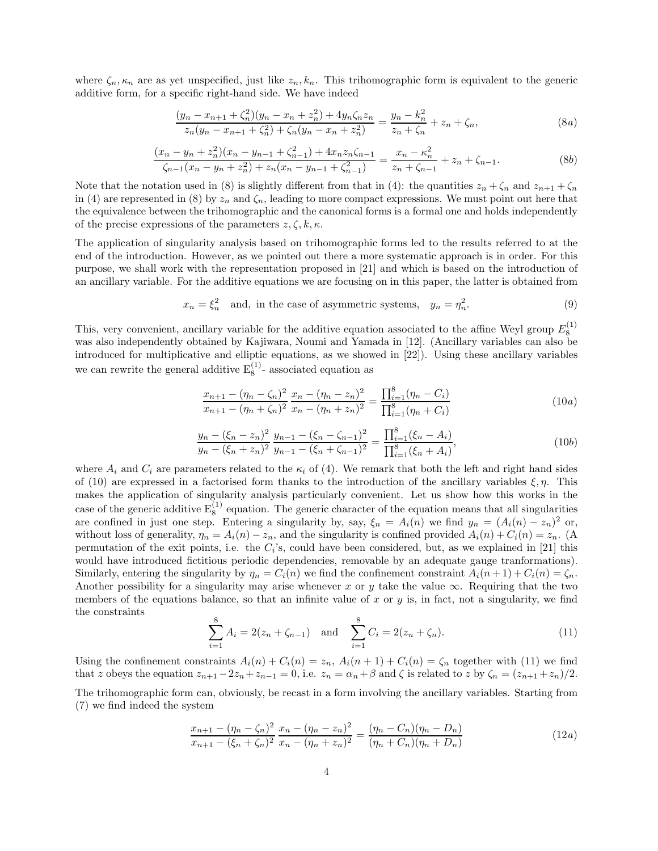where  $\zeta_n, \kappa_n$  are as yet unspecified, just like  $z_n, k_n$ . This trihomographic form is equivalent to the generic additive form, for a specific right-hand side. We have indeed

$$
\frac{(y_n - x_{n+1} + \zeta_n^2)(y_n - x_n + z_n^2) + 4y_n\zeta_n z_n}{z_n(y_n - x_{n+1} + \zeta_n^2) + \zeta_n(y_n - x_n + z_n^2)} = \frac{y_n - k_n^2}{z_n + \zeta_n} + z_n + \zeta_n,
$$
\n(8*a*)

$$
\frac{(x_n - y_n + z_n^2)(x_n - y_{n-1} + \zeta_{n-1}^2) + 4x_n z_n \zeta_{n-1}}{\zeta_{n-1}(x_n - y_n + z_n^2) + z_n (x_n - y_{n-1} + \zeta_{n-1}^2)} = \frac{x_n - \kappa_n^2}{z_n + \zeta_{n-1}} + z_n + \zeta_{n-1}.
$$
\n(8b)

Note that the notation used in (8) is slightly different from that in (4): the quantities  $z_n + \zeta_n$  and  $z_{n+1} + \zeta_n$ in (4) are represented in (8) by  $z_n$  and  $\zeta_n$ , leading to more compact expressions. We must point out here that the equivalence between the trihomographic and the canonical forms is a formal one and holds independently of the precise expressions of the parameters  $z, \zeta, k, \kappa$ .

The application of singularity analysis based on trihomographic forms led to the results referred to at the end of the introduction. However, as we pointed out there a more systematic approach is in order. For this purpose, we shall work with the representation proposed in [21] and which is based on the introduction of an ancillary variable. For the additive equations we are focusing on in this paper, the latter is obtained from

$$
x_n = \xi_n^2
$$
 and, in the case of asymmetric systems,  $y_n = \eta_n^2$ . (9)

This, very convenient, ancillary variable for the additive equation associated to the affine Weyl group  $E_8^{(1)}$ was also independently obtained by Kajiwara, Noumi and Yamada in [12]. (Ancillary variables can also be introduced for multiplicative and elliptic equations, as we showed in [22]). Using these ancillary variables we can rewrite the general additive  $E_8^{(1)}$ - associated equation as

$$
\frac{x_{n+1} - (\eta_n - \zeta_n)^2}{x_{n+1} - (\eta_n + \zeta_n)^2} \frac{x_n - (\eta_n - z_n)^2}{x_n - (\eta_n + z_n)^2} = \frac{\prod_{i=1}^8 (\eta_n - C_i)}{\prod_{i=1}^8 (\eta_n + C_i)}\n \tag{10a}
$$

$$
\frac{y_n - (\xi_n - z_n)^2}{y_n - (\xi_n + z_n)^2} \frac{y_{n-1} - (\xi_n - \zeta_{n-1})^2}{y_{n-1} - (\xi_n + \zeta_{n-1})^2} = \frac{\prod_{i=1}^8 (\xi_n - A_i)}{\prod_{i=1}^8 (\xi_n + A_i)},\tag{10b}
$$

where  $A_i$  and  $C_i$  are parameters related to the  $\kappa_i$  of (4). We remark that both the left and right hand sides of (10) are expressed in a factorised form thanks to the introduction of the ancillary variables  $\xi, \eta$ . This makes the application of singularity analysis particularly convenient. Let us show how this works in the case of the generic additive  $E_8^{(1)}$  equation. The generic character of the equation means that all singularities are confined in just one step. Entering a singularity by, say,  $\xi_n = A_i(n)$  we find  $y_n = (A_i(n) - z_n)^2$  or, without loss of generality,  $\eta_n = A_i(n) - z_n$ , and the singularity is confined provided  $A_i(n) + C_i(n) = z_n$ . (A permutation of the exit points, i.e. the  $C_i$ 's, could have been considered, but, as we explained in [21] this would have introduced fictitious periodic dependencies, removable by an adequate gauge tranformations). Similarly, entering the singularity by  $\eta_n = C_i(n)$  we find the confinement constraint  $A_i(n+1) + C_i(n) = \zeta_n$ . Another possibility for a singularity may arise whenever x or y take the value  $\infty$ . Requiring that the two members of the equations balance, so that an infinite value of x or y is, in fact, not a singularity, we find the constraints

$$
\sum_{i=1}^{8} A_i = 2(z_n + \zeta_{n-1}) \text{ and } \sum_{i=1}^{8} C_i = 2(z_n + \zeta_n). \tag{11}
$$

Using the confinement constraints  $A_i(n) + C_i(n) = z_n$ ,  $A_i(n+1) + C_i(n) = \zeta_n$  together with (11) we find that z obeys the equation  $z_{n+1} - 2z_n + z_{n-1} = 0$ , i.e.  $z_n = \alpha_n + \beta$  and  $\zeta$  is related to z by  $\zeta_n = (z_{n+1} + z_n)/2$ .

The trihomographic form can, obviously, be recast in a form involving the ancillary variables. Starting from (7) we find indeed the system

$$
\frac{x_{n+1} - (\eta_n - \zeta_n)^2}{x_{n+1} - (\zeta_n + \zeta_n)^2} \frac{x_n - (\eta_n - z_n)^2}{x_n - (\eta_n + z_n)^2} = \frac{(\eta_n - C_n)(\eta_n - D_n)}{(\eta_n + C_n)(\eta_n + D_n)}
$$
(12*a*)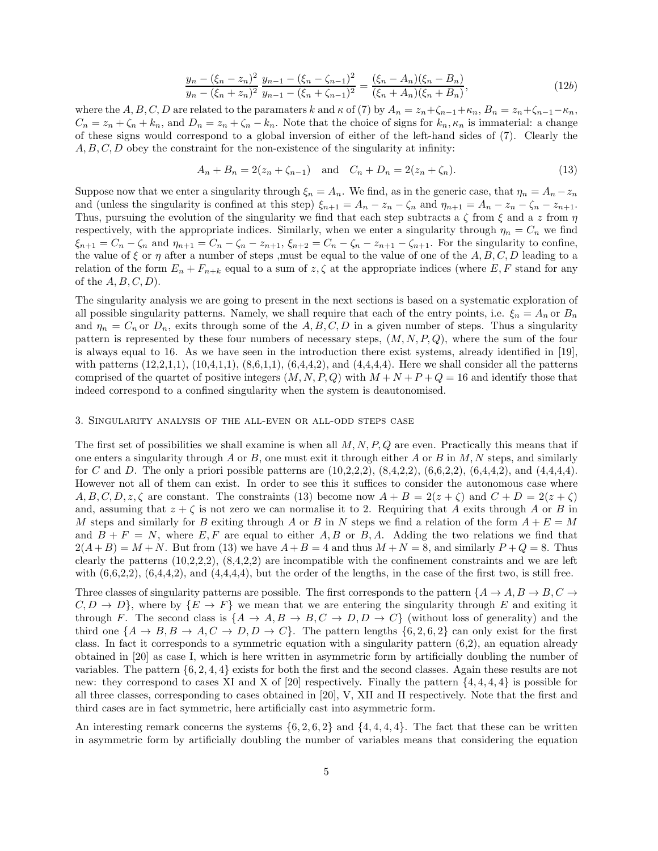$$
\frac{y_n - (\xi_n - z_n)^2}{y_n - (\xi_n + z_n)^2} \frac{y_{n-1} - (\xi_n - \zeta_{n-1})^2}{y_{n-1} - (\xi_n + \zeta_{n-1})^2} = \frac{(\xi_n - A_n)(\xi_n - B_n)}{(\xi_n + A_n)(\xi_n + B_n)},
$$
\n(12b)

where the A, B, C, D are related to the paramaters k and  $\kappa$  of (7) by  $A_n = z_n + \zeta_{n-1} + \kappa_n$ ,  $B_n = z_n + \zeta_{n-1} - \kappa_n$ ,  $C_n = z_n + \zeta_n + k_n$ , and  $D_n = z_n + \zeta_n - k_n$ . Note that the choice of signs for  $k_n, \kappa_n$  is immaterial: a change of these signs would correspond to a global inversion of either of the left-hand sides of (7). Clearly the  $A, B, C, D$  obey the constraint for the non-existence of the singularity at infinity:

$$
A_n + B_n = 2(z_n + \zeta_{n-1}) \quad \text{and} \quad C_n + D_n = 2(z_n + \zeta_n). \tag{13}
$$

Suppose now that we enter a singularity through  $\xi_n = A_n$ . We find, as in the generic case, that  $\eta_n = A_n - z_n$ and (unless the singularity is confined at this step)  $\xi_{n+1} = A_n - z_n - \zeta_n$  and  $\eta_{n+1} = A_n - z_n - \zeta_n - z_{n+1}$ . Thus, pursuing the evolution of the singularity we find that each step subtracts a  $\zeta$  from  $\zeta$  and a z from  $\eta$ respectively, with the appropriate indices. Similarly, when we enter a singularity through  $\eta_n = C_n$  we find  $\xi_{n+1} = C_n - \zeta_n$  and  $\eta_{n+1} = C_n - \zeta_n - z_{n+1}$ ,  $\xi_{n+2} = C_n - \zeta_n - z_{n+1} - \zeta_{n+1}$ . For the singularity to confine, the value of  $\xi$  or  $\eta$  after a number of steps , must be equal to the value of one of the A, B, C, D leading to a relation of the form  $E_n + F_{n+k}$  equal to a sum of  $z, \zeta$  at the appropriate indices (where E, F stand for any of the  $A, B, C, D$ .

The singularity analysis we are going to present in the next sections is based on a systematic exploration of all possible singularity patterns. Namely, we shall require that each of the entry points, i.e.  $\xi_n = A_n$  or  $B_n$ and  $\eta_n = C_n$  or  $D_n$ , exits through some of the A, B, C, D in a given number of steps. Thus a singularity pattern is represented by these four numbers of necessary steps,  $(M, N, P, Q)$ , where the sum of the four is always equal to 16. As we have seen in the introduction there exist systems, already identified in [19], with patterns  $(12,2,1,1), (10,4,1,1), (8,6,1,1), (6,4,4,2),$  and  $(4,4,4,4)$ . Here we shall consider all the patterns comprised of the quartet of positive integers  $(M, N, P, Q)$  with  $M + N + P + Q = 16$  and identify those that indeed correspond to a confined singularity when the system is deautonomised.

### 3. Singularity analysis of the all-even or all-odd steps case

The first set of possibilities we shall examine is when all  $M, N, P, Q$  are even. Practically this means that if one enters a singularity through  $A$  or  $B$ , one must exit it through either  $A$  or  $B$  in  $M$ ,  $N$  steps, and similarly for C and D. The only a priori possible patterns are  $(10,2,2,2)$ ,  $(8,4,2,2)$ ,  $(6,6,2,2)$ ,  $(6,4,4,2)$ , and  $(4,4,4,4)$ . However not all of them can exist. In order to see this it suffices to consider the autonomous case where  $A, B, C, D, z, \zeta$  are constant. The constraints (13) become now  $A + B = 2(z + \zeta)$  and  $C + D = 2(z + \zeta)$ and, assuming that  $z + \zeta$  is not zero we can normalise it to 2. Requiring that A exits through A or B in M steps and similarly for B exiting through A or B in N steps we find a relation of the form  $A + E = M$ and  $B + F = N$ , where E, F are equal to either A, B or B, A. Adding the two relations we find that  $2(A+B) = M+N$ . But from (13) we have  $A+B=4$  and thus  $M+N=8$ , and similarly  $P+Q=8$ . Thus clearly the patterns  $(10,2,2,2)$ ,  $(8,4,2,2)$  are incompatible with the confinement constraints and we are left with  $(6,6,2,2)$ ,  $(6,4,4,2)$ , and  $(4,4,4,4)$ , but the order of the lengths, in the case of the first two, is still free.

Three classes of singularity patterns are possible. The first corresponds to the pattern  $\{A \to A, B \to B, C \to A\}$  $C, D \to D$ , where by  $\{E \to F\}$  we mean that we are entering the singularity through E and exiting it through F. The second class is  $\{A \to A, B \to B, C \to D, D \to C\}$  (without loss of generality) and the third one  $\{A \rightarrow B, B \rightarrow A, C \rightarrow D, D \rightarrow C\}$ . The pattern lengths  $\{6, 2, 6, 2\}$  can only exist for the first class. In fact it corresponds to a symmetric equation with a singularity pattern (6,2), an equation already obtained in [20] as case I, which is here written in asymmetric form by artificially doubling the number of variables. The pattern {6, 2, 4, 4} exists for both the first and the second classes. Again these results are not new: they correspond to cases XI and X of [20] respectively. Finally the pattern  $\{4, 4, 4, 4\}$  is possible for all three classes, corresponding to cases obtained in [20], V, XII and II respectively. Note that the first and third cases are in fact symmetric, here artificially cast into asymmetric form.

An interesting remark concerns the systems  $\{6, 2, 6, 2\}$  and  $\{4, 4, 4, 4\}$ . The fact that these can be written in asymmetric form by artificially doubling the number of variables means that considering the equation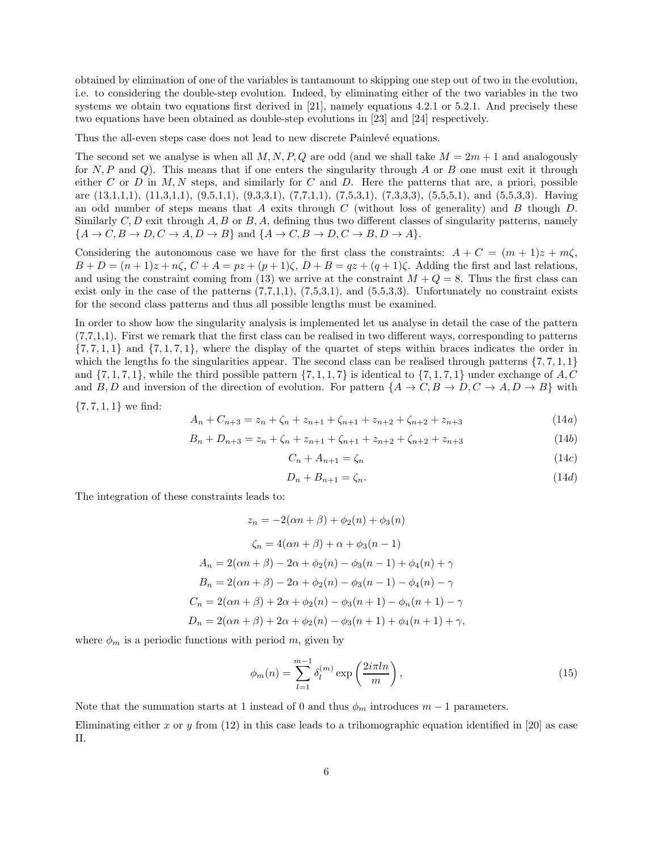obtained by elimination of one of the variables is tantamount to skipping one step out of two in the evolution, i.e. to considering the double-step evolution. Indeed, by eliminating either of the two variables in the two systems we obtain two equations first derived in [21], namely equations 4.2.1 or 5.2.1. And precisely these two equations have been obtained as double-step evolutions in [23] and [24] respectively.

Thus the all-even steps case does not lead to new discrete Painlevé equations.

The second set we analyse is when all  $M, N, P, Q$  are odd (and we shall take  $M = 2m + 1$  and analogously for  $N, P$  and  $Q$ ). This means that if one enters the singularity through A or B one must exit it through either C or D in  $M, N$  steps, and similarly for C and D. Here the patterns that are, a priori, possible are (13,1,1,1), (11,3,1,1), (9,5,1,1), (9,3,3,1), (7,7,1,1), (7,5,3,1), (7,3,3,3), (5,5,5,1), and (5,5,3,3). Having an odd number of steps means that A exits through C (without loss of generality) and B though D. Similarly  $C, D$  exit through  $A, B$  or  $B, A$ , defining thus two different classes of singularity patterns, namely  $\{A \rightarrow C, B \rightarrow D, C \rightarrow A, D \rightarrow B\}$  and  $\{A \rightarrow C, B \rightarrow D, C \rightarrow B, D \rightarrow A\}.$ 

Considering the autonomous case we have for the first class the constraints:  $A + C = (m + 1)z + m\zeta$ ,  $B + D = (n + 1)z + n\zeta$ ,  $C + A = pz + (p + 1)\zeta$ ,  $D + B = qz + (q + 1)\zeta$ . Adding the first and last relations, and using the constraint coming from (13) we arrive at the constraint  $M + Q = 8$ . Thus the first class can exist only in the case of the patterns  $(7,7,1,1)$ ,  $(7,5,3,1)$ , and  $(5,5,3,3)$ . Unfortunately no constraint exists for the second class patterns and thus all possible lengths must be examined.

In order to show how the singularity analysis is implemented let us analyse in detail the case of the pattern (7,7,1,1). First we remark that the first class can be realised in two different ways, corresponding to patterns  $\{7, 7, 1, 1\}$  and  $\{7, 1, 7, 1\}$ , where the display of the quartet of steps within braces indicates the order in which the lengths fo the singularities appear. The second class can be realised through patterns  $\{7, 7, 1, 1\}$ and  $\{7, 1, 7, 1\}$ , while the third possible pattern  $\{7, 1, 1, 7\}$  is identical to  $\{7, 1, 7, 1\}$  under exchange of A, C and B, D and inversion of the direction of evolution. For pattern  $\{A \to C, B \to D, C \to A, D \to B\}$  with

 $\{7, 7, 1, 1\}$  we find:

$$
A_n + C_{n+3} = z_n + \zeta_n + z_{n+1} + \zeta_{n+1} + z_{n+2} + \zeta_{n+2} + z_{n+3}
$$
\n(14a)

$$
B_n + D_{n+3} = z_n + \zeta_n + z_{n+1} + \zeta_{n+1} + z_{n+2} + \zeta_{n+2} + z_{n+3}
$$
\n
$$
(14b)
$$

$$
C_n + A_{n+1} = \zeta_n \tag{14c}
$$

$$
D_n + B_{n+1} = \zeta_n. \tag{14d}
$$

The integration of these constraints leads to:

$$
z_n = -2(\alpha n + \beta) + \phi_2(n) + \phi_3(n)
$$
  
\n
$$
\zeta_n = 4(\alpha n + \beta) + \alpha + \phi_3(n - 1)
$$
  
\n
$$
A_n = 2(\alpha n + \beta) - 2\alpha + \phi_2(n) - \phi_3(n - 1) + \phi_4(n) + \gamma
$$
  
\n
$$
B_n = 2(\alpha n + \beta) - 2\alpha + \phi_2(n) - \phi_3(n - 1) - \phi_4(n) - \gamma
$$
  
\n
$$
C_n = 2(\alpha n + \beta) + 2\alpha + \phi_2(n) - \phi_3(n + 1) - \phi_n(n + 1) - \gamma
$$
  
\n
$$
D_n = 2(\alpha n + \beta) + 2\alpha + \phi_2(n) - \phi_3(n + 1) + \phi_4(n + 1) + \gamma,
$$

where  $\phi_m$  is a periodic functions with period m, given by

$$
\phi_m(n) = \sum_{l=1}^{m-1} \delta_l^{(m)} \exp\left(\frac{2i\pi ln}{m}\right),\tag{15}
$$

Note that the summation starts at 1 instead of 0 and thus  $\phi_m$  introduces  $m-1$  parameters.

Eliminating either x or y from  $(12)$  in this case leads to a trihomographic equation identified in [20] as case II.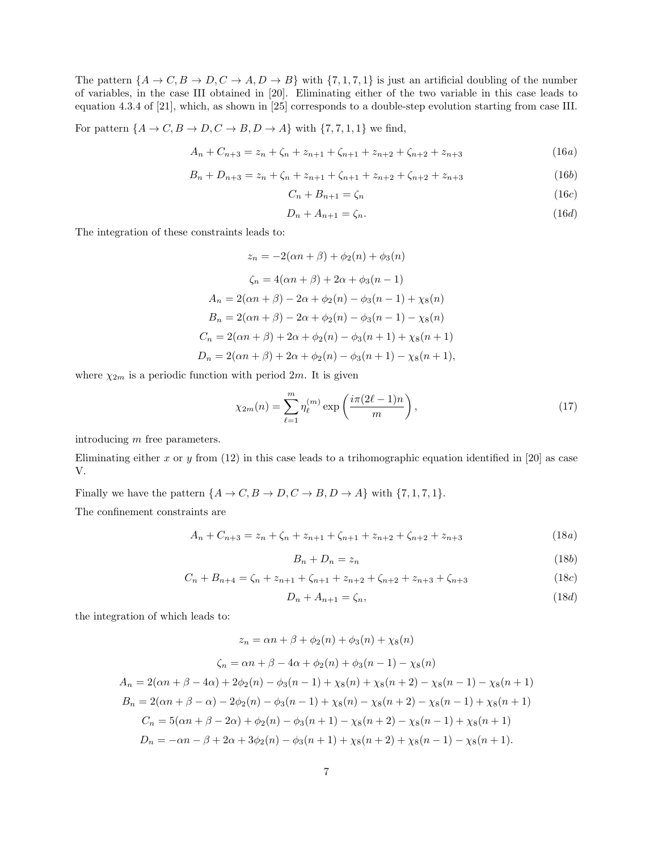The pattern  $\{A \to C, B \to D, C \to A, D \to B\}$  with  $\{7, 1, 7, 1\}$  is just an artificial doubling of the number of variables, in the case III obtained in [20]. Eliminating either of the two variable in this case leads to equation 4.3.4 of [21], which, as shown in [25] corresponds to a double-step evolution starting from case III.

For pattern  $\{A \to C, B \to D, C \to B, D \to A\}$  with  $\{7, 7, 1, 1\}$  we find,

$$
A_n + C_{n+3} = z_n + \zeta_n + z_{n+1} + \zeta_{n+1} + z_{n+2} + \zeta_{n+2} + z_{n+3}
$$
 (16*a*)

$$
B_n + D_{n+3} = z_n + \zeta_n + z_{n+1} + \zeta_{n+1} + z_{n+2} + \zeta_{n+2} + z_{n+3}
$$
 (16b)

$$
C_n + B_{n+1} = \zeta_n \tag{16c}
$$

$$
D_n + A_{n+1} = \zeta_n. \tag{16d}
$$

The integration of these constraints leads to:

$$
z_n = -2(\alpha n + \beta) + \phi_2(n) + \phi_3(n)
$$
  
\n
$$
\zeta_n = 4(\alpha n + \beta) + 2\alpha + \phi_3(n - 1)
$$
  
\n
$$
A_n = 2(\alpha n + \beta) - 2\alpha + \phi_2(n) - \phi_3(n - 1) + \chi_8(n)
$$
  
\n
$$
B_n = 2(\alpha n + \beta) - 2\alpha + \phi_2(n) - \phi_3(n - 1) - \chi_8(n)
$$
  
\n
$$
C_n = 2(\alpha n + \beta) + 2\alpha + \phi_2(n) - \phi_3(n + 1) + \chi_8(n + 1)
$$
  
\n
$$
D_n = 2(\alpha n + \beta) + 2\alpha + \phi_2(n) - \phi_3(n + 1) - \chi_8(n + 1),
$$

where  $\chi_{2m}$  is a periodic function with period  $2m$ . It is given

$$
\chi_{2m}(n) = \sum_{\ell=1}^{m} \eta_{\ell}^{(m)} \exp\left(\frac{i\pi(2\ell-1)n}{m}\right),\tag{17}
$$

introducing m free parameters.

Eliminating either x or y from  $(12)$  in this case leads to a trihomographic equation identified in [20] as case V.

Finally we have the pattern  $\{A \to C, B \to D, C \to B, D \to A\}$  with  $\{7, 1, 7, 1\}$ .

The confinement constraints are

$$
A_n + C_{n+3} = z_n + \zeta_n + z_{n+1} + \zeta_{n+1} + z_{n+2} + \zeta_{n+2} + z_{n+3}
$$
 (18a)

$$
B_n + D_n = z_n \tag{18b}
$$

$$
C_n + B_{n+4} = \zeta_n + z_{n+1} + \zeta_{n+1} + z_{n+2} + \zeta_{n+2} + z_{n+3} + \zeta_{n+3}
$$
 (18c)

$$
D_n + A_{n+1} = \zeta_n,\tag{18d}
$$

the integration of which leads to:

$$
z_n = \alpha n + \beta + \phi_2(n) + \phi_3(n) + \chi_8(n)
$$
  
\n
$$
\zeta_n = \alpha n + \beta - 4\alpha + \phi_2(n) + \phi_3(n-1) - \chi_8(n)
$$
  
\n
$$
A_n = 2(\alpha n + \beta - 4\alpha) + 2\phi_2(n) - \phi_3(n-1) + \chi_8(n) + \chi_8(n+2) - \chi_8(n-1) - \chi_8(n+1)
$$
  
\n
$$
B_n = 2(\alpha n + \beta - \alpha) - 2\phi_2(n) - \phi_3(n-1) + \chi_8(n) - \chi_8(n+2) - \chi_8(n-1) + \chi_8(n+1)
$$
  
\n
$$
C_n = 5(\alpha n + \beta - 2\alpha) + \phi_2(n) - \phi_3(n+1) - \chi_8(n+2) - \chi_8(n-1) + \chi_8(n+1)
$$
  
\n
$$
D_n = -\alpha n - \beta + 2\alpha + 3\phi_2(n) - \phi_3(n+1) + \chi_8(n+2) + \chi_8(n-1) - \chi_8(n+1).
$$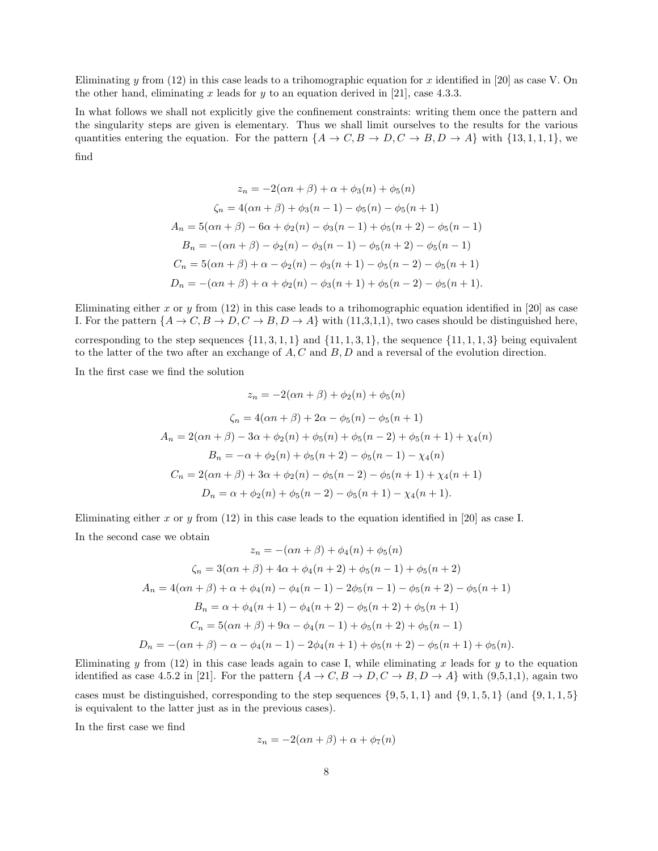Eliminating y from  $(12)$  in this case leads to a trihomographic equation for x identified in [20] as case V. On the other hand, eliminating x leads for y to an equation derived in [21], case 4.3.3.

In what follows we shall not explicitly give the confinement constraints: writing them once the pattern and the singularity steps are given is elementary. Thus we shall limit ourselves to the results for the various quantities entering the equation. For the pattern  $\{A \to C, B \to D, C \to B, D \to A\}$  with  $\{13, 1, 1, 1\}$ , we find

$$
z_n = -2(\alpha n + \beta) + \alpha + \phi_3(n) + \phi_5(n)
$$
  
\n
$$
\zeta_n = 4(\alpha n + \beta) + \phi_3(n - 1) - \phi_5(n) - \phi_5(n + 1)
$$
  
\n
$$
A_n = 5(\alpha n + \beta) - 6\alpha + \phi_2(n) - \phi_3(n - 1) + \phi_5(n + 2) - \phi_5(n - 1)
$$
  
\n
$$
B_n = -(\alpha n + \beta) - \phi_2(n) - \phi_3(n - 1) - \phi_5(n + 2) - \phi_5(n - 1)
$$
  
\n
$$
C_n = 5(\alpha n + \beta) + \alpha - \phi_2(n) - \phi_3(n + 1) - \phi_5(n - 2) - \phi_5(n + 1)
$$
  
\n
$$
D_n = -(\alpha n + \beta) + \alpha + \phi_2(n) - \phi_3(n + 1) + \phi_5(n - 2) - \phi_5(n + 1).
$$

Eliminating either x or y from  $(12)$  in this case leads to a trihomographic equation identified in [20] as case I. For the pattern  $\{A \to C, B \to D, C \to B, D \to A\}$  with (11,3,1,1), two cases should be distinguished here,

corresponding to the step sequences  $\{11, 3, 1, 1\}$  and  $\{11, 1, 3, 1\}$ , the sequence  $\{11, 1, 1, 3\}$  being equivalent to the latter of the two after an exchange of  $A, C$  and  $B, D$  and a reversal of the evolution direction.

In the first case we find the solution

$$
z_n = -2(\alpha n + \beta) + \phi_2(n) + \phi_5(n)
$$
  
\n
$$
\zeta_n = 4(\alpha n + \beta) + 2\alpha - \phi_5(n) - \phi_5(n + 1)
$$
  
\n
$$
A_n = 2(\alpha n + \beta) - 3\alpha + \phi_2(n) + \phi_5(n) + \phi_5(n - 2) + \phi_5(n + 1) + \chi_4(n)
$$
  
\n
$$
B_n = -\alpha + \phi_2(n) + \phi_5(n + 2) - \phi_5(n - 1) - \chi_4(n)
$$
  
\n
$$
C_n = 2(\alpha n + \beta) + 3\alpha + \phi_2(n) - \phi_5(n - 2) - \phi_5(n + 1) + \chi_4(n + 1)
$$
  
\n
$$
D_n = \alpha + \phi_2(n) + \phi_5(n - 2) - \phi_5(n + 1) - \chi_4(n + 1).
$$

Eliminating either x or y from  $(12)$  in this case leads to the equation identified in [20] as case I. In the second case we obtain  $\ell_{\text{max}} + \ell^{(n)} + \ell^{(n)} + \ell^{(n)}$ 

$$
z_n = -(\alpha n + \beta) + \varphi_4(n) + \varphi_5(n)
$$
  
\n
$$
\zeta_n = 3(\alpha n + \beta) + 4\alpha + \varphi_4(n + 2) + \varphi_5(n - 1) + \varphi_5(n + 2)
$$
  
\n
$$
A_n = 4(\alpha n + \beta) + \alpha + \varphi_4(n) - \varphi_4(n - 1) - 2\varphi_5(n - 1) - \varphi_5(n + 2) - \varphi_5(n + 1)
$$
  
\n
$$
B_n = \alpha + \varphi_4(n + 1) - \varphi_4(n + 2) - \varphi_5(n + 2) + \varphi_5(n + 1)
$$
  
\n
$$
C_n = 5(\alpha n + \beta) + 9\alpha - \varphi_4(n - 1) + \varphi_5(n + 2) + \varphi_5(n - 1)
$$
  
\n
$$
D_n = -(\alpha n + \beta) - \alpha - \varphi_4(n - 1) - 2\varphi_4(n + 1) + \varphi_5(n + 2) - \varphi_5(n + 1) + \varphi_5(n).
$$

Eliminating y from (12) in this case leads again to case I, while eliminating x leads for y to the equation identified as case 4.5.2 in [21]. For the pattern  $\{A \to C, B \to D, C \to B, D \to A\}$  with (9,5,1,1), again two

cases must be distinguished, corresponding to the step sequences  $\{9, 5, 1, 1\}$  and  $\{9, 1, 5, 1\}$  (and  $\{9, 1, 1, 5\}$ ) is equivalent to the latter just as in the previous cases).

In the first case we find

$$
z_n = -2(\alpha n + \beta) + \alpha + \phi_7(n)
$$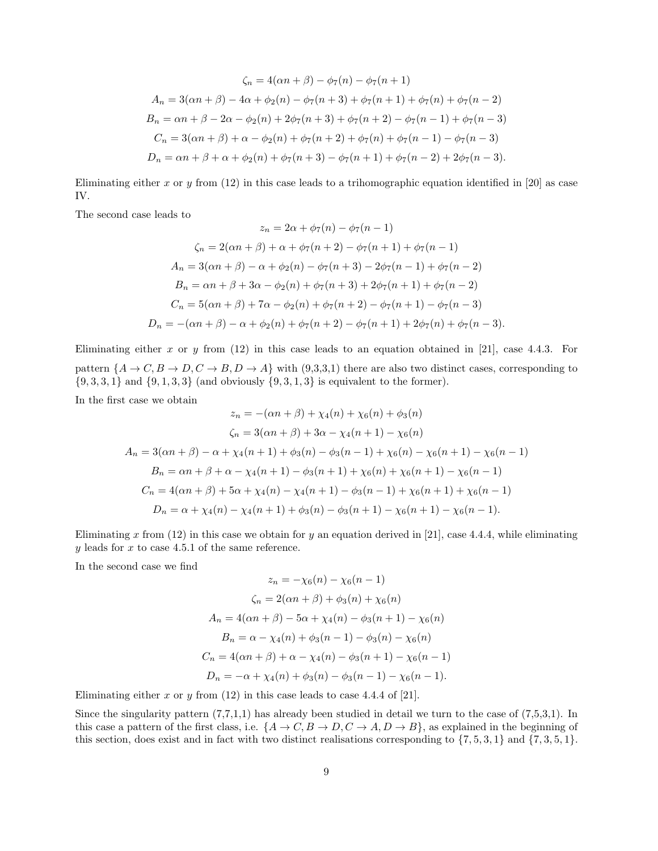$$
\zeta_n = 4(\alpha n + \beta) - \phi_7(n) - \phi_7(n+1)
$$
  
\n
$$
A_n = 3(\alpha n + \beta) - 4\alpha + \phi_2(n) - \phi_7(n+3) + \phi_7(n+1) + \phi_7(n) + \phi_7(n-2)
$$
  
\n
$$
B_n = \alpha n + \beta - 2\alpha - \phi_2(n) + 2\phi_7(n+3) + \phi_7(n+2) - \phi_7(n-1) + \phi_7(n-3)
$$
  
\n
$$
C_n = 3(\alpha n + \beta) + \alpha - \phi_2(n) + \phi_7(n+2) + \phi_7(n) + \phi_7(n-1) - \phi_7(n-3)
$$
  
\n
$$
D_n = \alpha n + \beta + \alpha + \phi_2(n) + \phi_7(n+3) - \phi_7(n+1) + \phi_7(n-2) + 2\phi_7(n-3).
$$

Eliminating either x or y from  $(12)$  in this case leads to a trihomographic equation identified in [20] as case IV.

The second case leads to

$$
z_n = 2\alpha + \phi_7(n) - \phi_7(n-1)
$$
  
\n
$$
\zeta_n = 2(\alpha n + \beta) + \alpha + \phi_7(n+2) - \phi_7(n+1) + \phi_7(n-1)
$$
  
\n
$$
A_n = 3(\alpha n + \beta) - \alpha + \phi_2(n) - \phi_7(n+3) - 2\phi_7(n-1) + \phi_7(n-2)
$$
  
\n
$$
B_n = \alpha n + \beta + 3\alpha - \phi_2(n) + \phi_7(n+3) + 2\phi_7(n+1) + \phi_7(n-2)
$$
  
\n
$$
C_n = 5(\alpha n + \beta) + 7\alpha - \phi_2(n) + \phi_7(n+2) - \phi_7(n+1) - \phi_7(n-3)
$$
  
\n
$$
D_n = -(\alpha n + \beta) - \alpha + \phi_2(n) + \phi_7(n+2) - \phi_7(n+1) + 2\phi_7(n) + \phi_7(n-3).
$$

Eliminating either x or y from  $(12)$  in this case leads to an equation obtained in [21], case 4.4.3. For pattern  $\{A \rightarrow C, B \rightarrow D, C \rightarrow B, D \rightarrow A\}$  with (9,3,3,1) there are also two distinct cases, corresponding to  ${9, 3, 3, 1}$  and  ${9, 1, 3, 3}$  (and obviously  ${9, 3, 1, 3}$  is equivalent to the former).

In the first case we obtain

$$
z_n = -( \alpha n + \beta) + \chi_4(n) + \chi_6(n) + \phi_3(n)
$$
  
\n
$$
\zeta_n = 3(\alpha n + \beta) + 3\alpha - \chi_4(n + 1) - \chi_6(n)
$$
  
\n
$$
A_n = 3(\alpha n + \beta) - \alpha + \chi_4(n + 1) + \phi_3(n) - \phi_3(n - 1) + \chi_6(n) - \chi_6(n + 1) - \chi_6(n - 1)
$$
  
\n
$$
B_n = \alpha n + \beta + \alpha - \chi_4(n + 1) - \phi_3(n + 1) + \chi_6(n) + \chi_6(n + 1) - \chi_6(n - 1)
$$
  
\n
$$
C_n = 4(\alpha n + \beta) + 5\alpha + \chi_4(n) - \chi_4(n + 1) - \phi_3(n - 1) + \chi_6(n + 1) + \chi_6(n - 1)
$$
  
\n
$$
D_n = \alpha + \chi_4(n) - \chi_4(n + 1) + \phi_3(n) - \phi_3(n + 1) - \chi_6(n + 1) - \chi_6(n - 1).
$$

Eliminating x from  $(12)$  in this case we obtain for y an equation derived in [21], case 4.4.4, while eliminating  $y$  leads for  $x$  to case 4.5.1 of the same reference.

In the second case we find

$$
z_n = -\chi_6(n) - \chi_6(n-1)
$$
  
\n
$$
\zeta_n = 2(\alpha n + \beta) + \phi_3(n) + \chi_6(n)
$$
  
\n
$$
A_n = 4(\alpha n + \beta) - 5\alpha + \chi_4(n) - \phi_3(n+1) - \chi_6(n)
$$
  
\n
$$
B_n = \alpha - \chi_4(n) + \phi_3(n-1) - \phi_3(n) - \chi_6(n)
$$
  
\n
$$
C_n = 4(\alpha n + \beta) + \alpha - \chi_4(n) - \phi_3(n+1) - \chi_6(n-1)
$$
  
\n
$$
D_n = -\alpha + \chi_4(n) + \phi_3(n) - \phi_3(n-1) - \chi_6(n-1).
$$

Eliminating either x or y from  $(12)$  in this case leads to case 4.4.4 of  $[21]$ .

Since the singularity pattern  $(7,7,1,1)$  has already been studied in detail we turn to the case of  $(7,5,3,1)$ . In this case a pattern of the first class, i.e.  $\{A \to C, B \to D, C \to A, D \to B\}$ , as explained in the beginning of this section, does exist and in fact with two distinct realisations corresponding to  $\{7, 5, 3, 1\}$  and  $\{7, 3, 5, 1\}$ .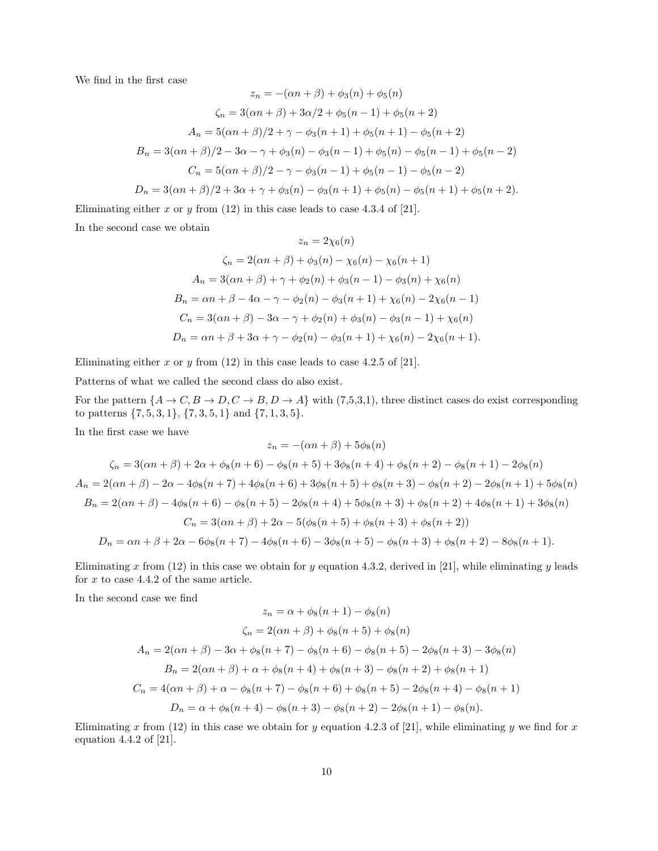We find in the first case

$$
z_n = -(\alpha n + \beta) + \phi_3(n) + \phi_5(n)
$$
  
\n
$$
\zeta_n = 3(\alpha n + \beta) + 3\alpha/2 + \phi_5(n - 1) + \phi_5(n + 2)
$$
  
\n
$$
A_n = 5(\alpha n + \beta)/2 + \gamma - \phi_3(n + 1) + \phi_5(n + 1) - \phi_5(n + 2)
$$
  
\n
$$
B_n = 3(\alpha n + \beta)/2 - 3\alpha - \gamma + \phi_3(n) - \phi_3(n - 1) + \phi_5(n) - \phi_5(n - 1) + \phi_5(n - 2)
$$
  
\n
$$
C_n = 5(\alpha n + \beta)/2 - \gamma - \phi_3(n - 1) + \phi_5(n - 1) - \phi_5(n - 2)
$$
  
\n
$$
D_n = 3(\alpha n + \beta)/2 + 3\alpha + \gamma + \phi_3(n) - \phi_3(n + 1) + \phi_5(n) - \phi_5(n + 1) + \phi_5(n + 2).
$$

Eliminating either x or y from  $(12)$  in this case leads to case 4.3.4 of [21].

In the second case we obtain

$$
z_n = 2\chi_6(n)
$$
  
\n
$$
\zeta_n = 2(\alpha n + \beta) + \phi_3(n) - \chi_6(n) - \chi_6(n+1)
$$
  
\n
$$
A_n = 3(\alpha n + \beta) + \gamma + \phi_2(n) + \phi_3(n-1) - \phi_3(n) + \chi_6(n)
$$
  
\n
$$
B_n = \alpha n + \beta - 4\alpha - \gamma - \phi_2(n) - \phi_3(n+1) + \chi_6(n) - 2\chi_6(n-1)
$$
  
\n
$$
C_n = 3(\alpha n + \beta) - 3\alpha - \gamma + \phi_2(n) + \phi_3(n) - \phi_3(n-1) + \chi_6(n)
$$
  
\n
$$
D_n = \alpha n + \beta + 3\alpha + \gamma - \phi_2(n) - \phi_3(n+1) + \chi_6(n) - 2\chi_6(n+1).
$$

Eliminating either x or y from  $(12)$  in this case leads to case 4.2.5 of [21].

Patterns of what we called the second class do also exist.

For the pattern  $\{A \to C, B \to D, C \to B, D \to A\}$  with  $(7,5,3,1)$ , three distinct cases do exist corresponding to patterns  $\{7, 5, 3, 1\}$ ,  $\{7, 3, 5, 1\}$  and  $\{7, 1, 3, 5\}$ .

In the first case we have

$$
z_n = -( \alpha n + \beta) + 5\phi_8(n)
$$
  
\n
$$
\zeta_n = 3(\alpha n + \beta) + 2\alpha + \phi_8(n + 6) - \phi_8(n + 5) + 3\phi_8(n + 4) + \phi_8(n + 2) - \phi_8(n + 1) - 2\phi_8(n)
$$
  
\n
$$
A_n = 2(\alpha n + \beta) - 2\alpha - 4\phi_8(n + 7) + 4\phi_8(n + 6) + 3\phi_8(n + 5) + \phi_8(n + 3) - \phi_8(n + 2) - 2\phi_8(n + 1) + 5\phi_8(n)
$$
  
\n
$$
B_n = 2(\alpha n + \beta) - 4\phi_8(n + 6) - \phi_8(n + 5) - 2\phi_8(n + 4) + 5\phi_8(n + 3) + \phi_8(n + 2) + 4\phi_8(n + 1) + 3\phi_8(n)
$$
  
\n
$$
C_n = 3(\alpha n + \beta) + 2\alpha - 5(\phi_8(n + 5) + \phi_8(n + 3) + \phi_8(n + 2))
$$
  
\n
$$
D_n = \alpha n + \beta + 2\alpha - 6\phi_8(n + 7) - 4\phi_8(n + 6) - 3\phi_8(n + 5) - \phi_8(n + 3) + \phi_8(n + 2) - 8\phi_8(n + 1).
$$

Eliminating x from (12) in this case we obtain for y equation 4.3.2, derived in [21], while eliminating y leads for  $x$  to case 4.4.2 of the same article.

In the second case we find

$$
z_n = \alpha + \phi_8(n+1) - \phi_8(n)
$$
  
\n
$$
\zeta_n = 2(\alpha n + \beta) + \phi_8(n+5) + \phi_8(n)
$$
  
\n
$$
A_n = 2(\alpha n + \beta) - 3\alpha + \phi_8(n+7) - \phi_8(n+6) - \phi_8(n+5) - 2\phi_8(n+3) - 3\phi_8(n)
$$
  
\n
$$
B_n = 2(\alpha n + \beta) + \alpha + \phi_8(n+4) + \phi_8(n+3) - \phi_8(n+2) + \phi_8(n+1)
$$
  
\n
$$
C_n = 4(\alpha n + \beta) + \alpha - \phi_8(n+7) - \phi_8(n+6) + \phi_8(n+5) - 2\phi_8(n+4) - \phi_8(n+1)
$$
  
\n
$$
D_n = \alpha + \phi_8(n+4) - \phi_8(n+3) - \phi_8(n+2) - 2\phi_8(n+1) - \phi_8(n).
$$

Eliminating x from (12) in this case we obtain for y equation 4.2.3 of [21], while eliminating y we find for x equation 4.4.2 of [21].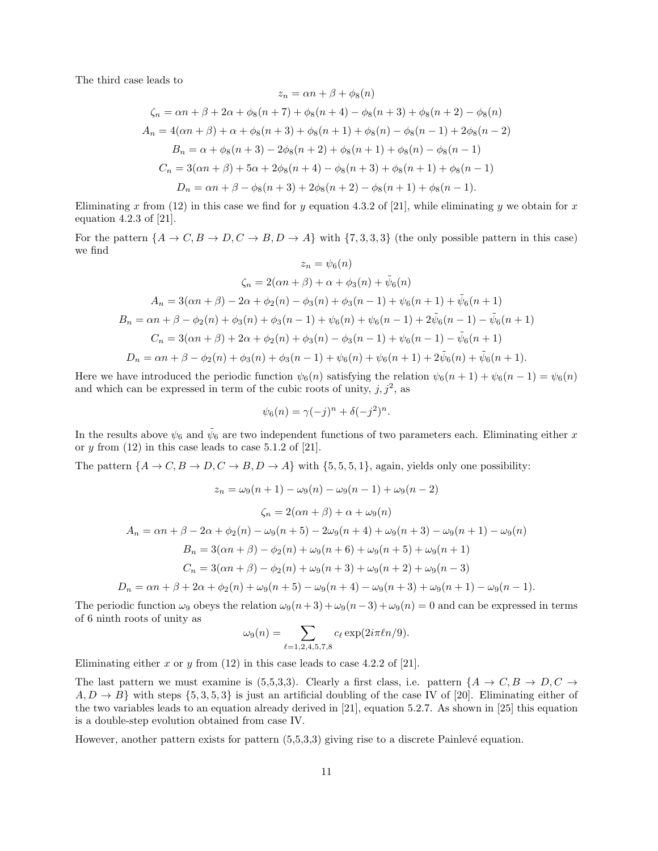The third case leads to

$$
z_n = \alpha n + \beta + \phi_8(n)
$$
  
\n
$$
\zeta_n = \alpha n + \beta + 2\alpha + \phi_8(n+7) + \phi_8(n+4) - \phi_8(n+3) + \phi_8(n+2) - \phi_8(n)
$$
  
\n
$$
A_n = 4(\alpha n + \beta) + \alpha + \phi_8(n+3) + \phi_8(n+1) + \phi_8(n) - \phi_8(n-1) + 2\phi_8(n-2)
$$
  
\n
$$
B_n = \alpha + \phi_8(n+3) - 2\phi_8(n+2) + \phi_8(n+1) + \phi_8(n) - \phi_8(n-1)
$$
  
\n
$$
C_n = 3(\alpha n + \beta) + 5\alpha + 2\phi_8(n+4) - \phi_8(n+3) + \phi_8(n+1) + \phi_8(n-1)
$$
  
\n
$$
D_n = \alpha n + \beta - \phi_8(n+3) + 2\phi_8(n+2) - \phi_8(n+1) + \phi_8(n-1).
$$

Eliminating x from (12) in this case we find for y equation 4.3.2 of [21], while eliminating y we obtain for x equation 4.2.3 of [21].

For the pattern  $\{A \to C, B \to D, C \to B, D \to A\}$  with  $\{7, 3, 3, 3\}$  (the only possible pattern in this case) we find

$$
z_n = \psi_6(n)
$$
  
\n
$$
\zeta_n = 2(\alpha n + \beta) + \alpha + \phi_3(n) + \tilde{\psi}_6(n)
$$
  
\n
$$
A_n = 3(\alpha n + \beta) - 2\alpha + \phi_2(n) - \phi_3(n) + \phi_3(n - 1) + \psi_6(n + 1) + \tilde{\psi}_6(n + 1)
$$
  
\n
$$
B_n = \alpha n + \beta - \phi_2(n) + \phi_3(n) + \phi_3(n - 1) + \psi_6(n) + \psi_6(n - 1) + 2\tilde{\psi}_6(n - 1) - \tilde{\psi}_6(n + 1)
$$
  
\n
$$
C_n = 3(\alpha n + \beta) + 2\alpha + \phi_2(n) + \phi_3(n) - \phi_3(n - 1) + \psi_6(n - 1) - \tilde{\psi}_6(n + 1)
$$
  
\n
$$
D_n = \alpha n + \beta - \phi_2(n) + \phi_3(n) + \phi_3(n - 1) + \psi_6(n) + \psi_6(n + 1) + 2\tilde{\psi}_6(n) + \tilde{\psi}_6(n + 1).
$$

Here we have introduced the periodic function  $\psi_6(n)$  satisfying the relation  $\psi_6(n+1) + \psi_6(n-1) = \psi_6(n)$ and which can be expressed in term of the cubic roots of unity,  $j, j^2$ , as

$$
\psi_6(n) = \gamma(-j)^n + \delta(-j^2)^n.
$$

In the results above  $\psi_6$  and  $\tilde{\psi}_6$  are two independent functions of two parameters each. Eliminating either x or  $y$  from  $(12)$  in this case leads to case 5.1.2 of  $[21]$ .

The pattern  $\{A \to C, B \to D, C \to B, D \to A\}$  with  $\{5, 5, 5, 1\}$ , again, yields only one possibility:

$$
z_n = \omega_9(n+1) - \omega_9(n) - \omega_9(n-1) + \omega_9(n-2)
$$
  
\n
$$
\zeta_n = 2(\alpha n + \beta) + \alpha + \omega_9(n)
$$
  
\n
$$
A_n = \alpha n + \beta - 2\alpha + \phi_2(n) - \omega_9(n+5) - 2\omega_9(n+4) + \omega_9(n+3) - \omega_9(n+1) - \omega_9(n)
$$
  
\n
$$
B_n = 3(\alpha n + \beta) - \phi_2(n) + \omega_9(n+6) + \omega_9(n+5) + \omega_9(n+1)
$$
  
\n
$$
C_n = 3(\alpha n + \beta) - \phi_2(n) + \omega_9(n+3) + \omega_9(n+2) + \omega_9(n-3)
$$

$$
D_n = \alpha n + \beta + 2\alpha + \phi_2(n) + \omega_9(n+5) - \omega_9(n+4) - \omega_9(n+3) + \omega_9(n+1) - \omega_9(n-1).
$$

The periodic function  $\omega_9$  obeys the relation  $\omega_9(n+3) + \omega_9(n-3) + \omega_9(n) = 0$  and can be expressed in terms of 6 ninth roots of unity as

$$
\omega_9(n) = \sum_{\ell=1,2,4,5,7,8} c_{\ell} \exp(2i\pi \ell n/9).
$$

Eliminating either x or y from  $(12)$  in this case leads to case 4.2.2 of [21].

The last pattern we must examine is (5,5,3,3). Clearly a first class, i.e. pattern  $\{A \to C, B \to D, C \to C\}$  $A, D \to B$ } with steps {5, 3, 5, 3} is just an artificial doubling of the case IV of [20]. Eliminating either of the two variables leads to an equation already derived in [21], equation 5.2.7. As shown in [25] this equation is a double-step evolution obtained from case IV.

However, another pattern exists for pattern  $(5,5,3,3)$  giving rise to a discrete Painlevé equation.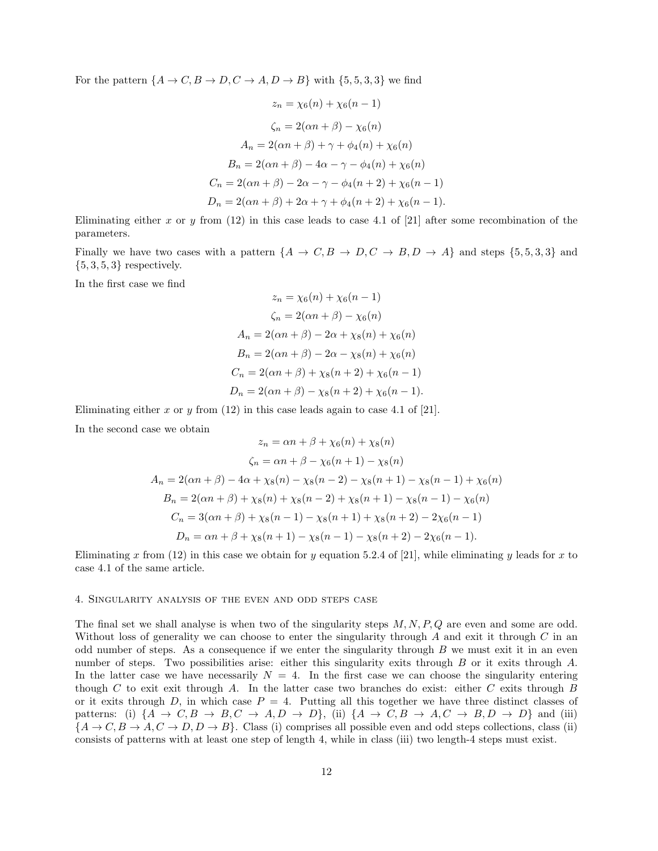For the pattern  $\{A \to C, B \to D, C \to A, D \to B\}$  with  $\{5, 5, 3, 3\}$  we find

$$
z_n = \chi_6(n) + \chi_6(n-1)
$$
  
\n
$$
\zeta_n = 2(\alpha n + \beta) - \chi_6(n)
$$
  
\n
$$
A_n = 2(\alpha n + \beta) + \gamma + \phi_4(n) + \chi_6(n)
$$
  
\n
$$
B_n = 2(\alpha n + \beta) - 4\alpha - \gamma - \phi_4(n) + \chi_6(n)
$$
  
\n
$$
C_n = 2(\alpha n + \beta) - 2\alpha - \gamma - \phi_4(n+2) + \chi_6(n-1)
$$
  
\n
$$
D_n = 2(\alpha n + \beta) + 2\alpha + \gamma + \phi_4(n+2) + \chi_6(n-1).
$$

Eliminating either x or y from  $(12)$  in this case leads to case 4.1 of [21] after some recombination of the parameters.

Finally we have two cases with a pattern  $\{A \rightarrow C, B \rightarrow D, C \rightarrow B, D \rightarrow A\}$  and steps  $\{5, 5, 3, 3\}$  and  $\{5, 3, 5, 3\}$  respectively.

In the first case we find

$$
z_n = \chi_6(n) + \chi_6(n-1)
$$
  
\n
$$
\zeta_n = 2(\alpha n + \beta) - \chi_6(n)
$$
  
\n
$$
A_n = 2(\alpha n + \beta) - 2\alpha + \chi_8(n) + \chi_6(n)
$$
  
\n
$$
B_n = 2(\alpha n + \beta) - 2\alpha - \chi_8(n) + \chi_6(n)
$$
  
\n
$$
C_n = 2(\alpha n + \beta) + \chi_8(n+2) + \chi_6(n-1)
$$
  
\n
$$
D_n = 2(\alpha n + \beta) - \chi_8(n+2) + \chi_6(n-1).
$$

Eliminating either x or y from  $(12)$  in this case leads again to case 4.1 of [21].

In the second case we obtain

$$
z_n = \alpha n + \beta + \chi_6(n) + \chi_8(n)
$$
  
\n
$$
\zeta_n = \alpha n + \beta - \chi_6(n+1) - \chi_8(n)
$$
  
\n
$$
A_n = 2(\alpha n + \beta) - 4\alpha + \chi_8(n) - \chi_8(n-2) - \chi_8(n+1) - \chi_8(n-1) + \chi_6(n)
$$
  
\n
$$
B_n = 2(\alpha n + \beta) + \chi_8(n) + \chi_8(n-2) + \chi_8(n+1) - \chi_8(n-1) - \chi_6(n)
$$
  
\n
$$
C_n = 3(\alpha n + \beta) + \chi_8(n-1) - \chi_8(n+1) + \chi_8(n+2) - 2\chi_6(n-1)
$$
  
\n
$$
D_n = \alpha n + \beta + \chi_8(n+1) - \chi_8(n-1) - \chi_8(n+2) - 2\chi_6(n-1).
$$

Eliminating x from (12) in this case we obtain for y equation 5.2.4 of [21], while eliminating y leads for x to case 4.1 of the same article.

### 4. Singularity analysis of the even and odd steps case

The final set we shall analyse is when two of the singularity steps  $M, N, P, Q$  are even and some are odd. Without loss of generality we can choose to enter the singularity through  $A$  and exit it through  $C$  in an odd number of steps. As a consequence if we enter the singularity through  $B$  we must exit it in an even number of steps. Two possibilities arise: either this singularity exits through B or it exits through A. In the latter case we have necessarily  $N = 4$ . In the first case we can choose the singularity entering though C to exit exit through A. In the latter case two branches do exist: either C exits through B or it exits through  $D$ , in which case  $P = 4$ . Putting all this together we have three distinct classes of patterns: (i)  $\{A \rightarrow C, B \rightarrow B, C \rightarrow A, D \rightarrow D\}$ , (ii)  $\{A \rightarrow C, B \rightarrow A, C \rightarrow B, D \rightarrow D\}$  and (iii)  ${A \rightarrow C, B \rightarrow A, C \rightarrow D, D \rightarrow B}$ . Class (i) comprises all possible even and odd steps collections, class (ii) consists of patterns with at least one step of length 4, while in class (iii) two length-4 steps must exist.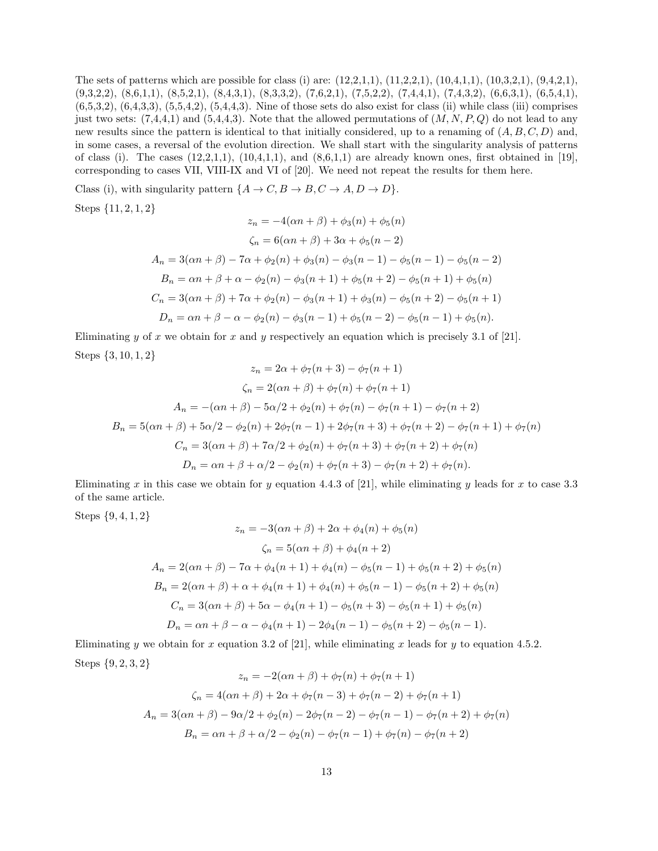The sets of patterns which are possible for class (i) are: (12,2,1,1), (11,2,2,1), (10,4,1,1), (10,3,2,1), (9,4,2,1), (9,3,2,2), (8,6,1,1), (8,5,2,1), (8,4,3,1), (8,3,3,2), (7,6,2,1), (7,5,2,2), (7,4,4,1), (7,4,3,2), (6,6,3,1), (6,5,4,1),  $(6,5,3,2), (6,4,3,3), (5,5,4,2), (5,4,4,3).$  Nine of those sets do also exist for class (ii) while class (iii) comprises just two sets:  $(7,4,4,1)$  and  $(5,4,4,3)$ . Note that the allowed permutations of  $(M, N, P, Q)$  do not lead to any new results since the pattern is identical to that initially considered, up to a renaming of  $(A, B, C, D)$  and, in some cases, a reversal of the evolution direction. We shall start with the singularity analysis of patterns of class (i). The cases  $(12,2,1,1), (10,4,1,1),$  and  $(8,6,1,1)$  are already known ones, first obtained in [19], corresponding to cases VII, VIII-IX and VI of [20]. We need not repeat the results for them here.

Class (i), with singularity pattern  $\{A \to C, B \to B, C \to A, D \to D\}.$ 

Steps 
$$
\{11, 2, 1, 2\}
$$

$$
z_n = -4(\alpha n + \beta) + \phi_3(n) + \phi_5(n)
$$
  
\n
$$
\zeta_n = 6(\alpha n + \beta) + 3\alpha + \phi_5(n - 2)
$$
  
\n
$$
A_n = 3(\alpha n + \beta) - 7\alpha + \phi_2(n) + \phi_3(n) - \phi_3(n - 1) - \phi_5(n - 1) - \phi_5(n - 2)
$$
  
\n
$$
B_n = \alpha n + \beta + \alpha - \phi_2(n) - \phi_3(n + 1) + \phi_5(n + 2) - \phi_5(n + 1) + \phi_5(n)
$$
  
\n
$$
C_n = 3(\alpha n + \beta) + 7\alpha + \phi_2(n) - \phi_3(n + 1) + \phi_3(n) - \phi_5(n + 2) - \phi_5(n + 1)
$$
  
\n
$$
D_n = \alpha n + \beta - \alpha - \phi_2(n) - \phi_3(n - 1) + \phi_5(n - 2) - \phi_5(n - 1) + \phi_5(n).
$$

Eliminating y of x we obtain for x and y respectively an equation which is precisely 3.1 of [21]. Steps {3, 10, 1, 2}

$$
z_n = 2\alpha + \phi_7(n+3) - \phi_7(n+1)
$$
  
\n
$$
\zeta_n = 2(\alpha n + \beta) + \phi_7(n) + \phi_7(n+1)
$$
  
\n
$$
A_n = -(\alpha n + \beta) - 5\alpha/2 + \phi_2(n) + \phi_7(n) - \phi_7(n+1) - \phi_7(n+2)
$$
  
\n
$$
B_n = 5(\alpha n + \beta) + 5\alpha/2 - \phi_2(n) + 2\phi_7(n-1) + 2\phi_7(n+3) + \phi_7(n+2) - \phi_7(n+1) + \phi_7(n)
$$
  
\n
$$
C_n = 3(\alpha n + \beta) + 7\alpha/2 + \phi_2(n) + \phi_7(n+3) + \phi_7(n+2) + \phi_7(n)
$$
  
\n
$$
D_n = \alpha n + \beta + \alpha/2 - \phi_2(n) + \phi_7(n+3) - \phi_7(n+2) + \phi_7(n).
$$

Eliminating x in this case we obtain for y equation 4.4.3 of [21], while eliminating y leads for x to case 3.3 of the same article.

Steps {9, 4, 1, 2}

$$
z_n = -3(\alpha n + \beta) + 2\alpha + \phi_4(n) + \phi_5(n)
$$
  
\n
$$
\zeta_n = 5(\alpha n + \beta) + \phi_4(n + 2)
$$
  
\n
$$
A_n = 2(\alpha n + \beta) - 7\alpha + \phi_4(n + 1) + \phi_4(n) - \phi_5(n - 1) + \phi_5(n + 2) + \phi_5(n)
$$
  
\n
$$
B_n = 2(\alpha n + \beta) + \alpha + \phi_4(n + 1) + \phi_4(n) + \phi_5(n - 1) - \phi_5(n + 2) + \phi_5(n)
$$
  
\n
$$
C_n = 3(\alpha n + \beta) + 5\alpha - \phi_4(n + 1) - \phi_5(n + 3) - \phi_5(n + 1) + \phi_5(n)
$$
  
\n
$$
D_n = \alpha n + \beta - \alpha - \phi_4(n + 1) - 2\phi_4(n - 1) - \phi_5(n + 2) - \phi_5(n - 1).
$$

Eliminating y we obtain for x equation 3.2 of [21], while eliminating x leads for y to equation 4.5.2. Steps {9, 2, 3, 2}

$$
z_n = -2(\alpha n + \beta) + \phi_7(n) + \phi_7(n+1)
$$
  

$$
\zeta_n = 4(\alpha n + \beta) + 2\alpha + \phi_7(n-3) + \phi_7(n-2) + \phi_7(n+1)
$$
  

$$
A_n = 3(\alpha n + \beta) - 9\alpha/2 + \phi_2(n) - 2\phi_7(n-2) - \phi_7(n-1) - \phi_7(n+2) + \phi_7(n)
$$
  

$$
B_n = \alpha n + \beta + \alpha/2 - \phi_2(n) - \phi_7(n-1) + \phi_7(n) - \phi_7(n+2)
$$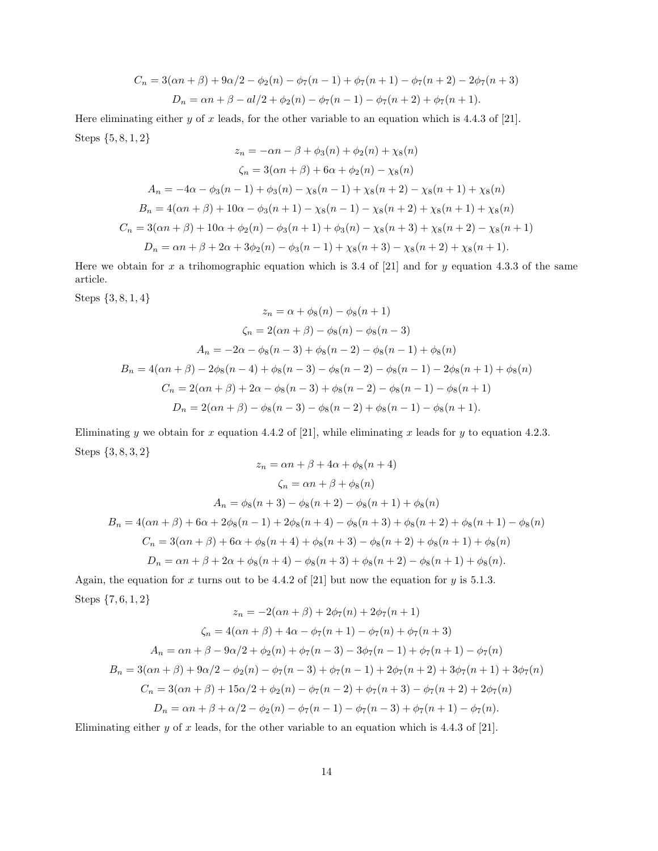$$
C_n = 3(\alpha n + \beta) + 9\alpha/2 - \phi_2(n) - \phi_7(n-1) + \phi_7(n+1) - \phi_7(n+2) - 2\phi_7(n+3)
$$
  

$$
D_n = \alpha n + \beta - \frac{al}{2} + \phi_2(n) - \phi_7(n-1) - \phi_7(n+2) + \phi_7(n+1).
$$

Here eliminating either y of x leads, for the other variable to an equation which is 4.4.3 of [21]. Steps {5, 8, 1, 2}

$$
z_n = -\alpha n - \beta + \phi_3(n) + \phi_2(n) + \chi_8(n)
$$
  
\n
$$
\zeta_n = 3(\alpha n + \beta) + 6\alpha + \phi_2(n) - \chi_8(n)
$$
  
\n
$$
A_n = -4\alpha - \phi_3(n-1) + \phi_3(n) - \chi_8(n-1) + \chi_8(n+2) - \chi_8(n+1) + \chi_8(n)
$$
  
\n
$$
B_n = 4(\alpha n + \beta) + 10\alpha - \phi_3(n+1) - \chi_8(n-1) - \chi_8(n+2) + \chi_8(n+1) + \chi_8(n)
$$
  
\n
$$
C_n = 3(\alpha n + \beta) + 10\alpha + \phi_2(n) - \phi_3(n+1) + \phi_3(n) - \chi_8(n+3) + \chi_8(n+2) - \chi_8(n+1)
$$
  
\n
$$
D_n = \alpha n + \beta + 2\alpha + 3\phi_2(n) - \phi_3(n-1) + \chi_8(n+3) - \chi_8(n+2) + \chi_8(n+1).
$$

Here we obtain for x a trihomographic equation which is 3.4 of [21] and for y equation 4.3.3 of the same article.

Steps {3, 8, 1, 4}

$$
z_n = \alpha + \phi_8(n) - \phi_8(n+1)
$$
  
\n
$$
\zeta_n = 2(\alpha n + \beta) - \phi_8(n) - \phi_8(n-3)
$$
  
\n
$$
A_n = -2\alpha - \phi_8(n-3) + \phi_8(n-2) - \phi_8(n-1) + \phi_8(n)
$$
  
\n
$$
B_n = 4(\alpha n + \beta) - 2\phi_8(n-4) + \phi_8(n-3) - \phi_8(n-2) - \phi_8(n-1) - 2\phi_8(n+1) + \phi_8(n)
$$
  
\n
$$
C_n = 2(\alpha n + \beta) + 2\alpha - \phi_8(n-3) + \phi_8(n-2) - \phi_8(n-1) - \phi_8(n+1)
$$
  
\n
$$
D_n = 2(\alpha n + \beta) - \phi_8(n-3) - \phi_8(n-2) + \phi_8(n-1) - \phi_8(n+1).
$$

Eliminating y we obtain for x equation 4.4.2 of [21], while eliminating x leads for y to equation 4.2.3. Steps  $\{3,8,3,2\}$  $\frac{2}{4}$  + 4 $\frac{1}{2}$  +  $\frac{1}{2}$  +  $\frac{1}{2}$ 

$$
z_n = \alpha n + \beta + 4\alpha + \phi_8(n+4)
$$
  
\n
$$
\zeta_n = \alpha n + \beta + \phi_8(n)
$$
  
\n
$$
A_n = \phi_8(n+3) - \phi_8(n+2) - \phi_8(n+1) + \phi_8(n)
$$
  
\n
$$
B_n = 4(\alpha n + \beta) + 6\alpha + 2\phi_8(n-1) + 2\phi_8(n+4) - \phi_8(n+3) + \phi_8(n+2) + \phi_8(n+1) - \phi_8(n)
$$
  
\n
$$
C_n = 3(\alpha n + \beta) + 6\alpha + \phi_8(n+4) + \phi_8(n+3) - \phi_8(n+2) + \phi_8(n+1) + \phi_8(n)
$$
  
\n
$$
D_n = \alpha n + \beta + 2\alpha + \phi_8(n+4) - \phi_8(n+3) + \phi_8(n+2) - \phi_8(n+1) + \phi_8(n).
$$

Again, the equation for x turns out to be 4.4.2 of [21] but now the equation for y is 5.1.3. Steps {7, 6, 1, 2}

$$
z_n = -2(\alpha n + \beta) + 2\phi_7(n) + 2\phi_7(n+1)
$$
  
\n
$$
\zeta_n = 4(\alpha n + \beta) + 4\alpha - \phi_7(n+1) - \phi_7(n) + \phi_7(n+3)
$$
  
\n
$$
A_n = \alpha n + \beta - 9\alpha/2 + \phi_2(n) + \phi_7(n-3) - 3\phi_7(n-1) + \phi_7(n+1) - \phi_7(n)
$$
  
\n
$$
B_n = 3(\alpha n + \beta) + 9\alpha/2 - \phi_2(n) - \phi_7(n-3) + \phi_7(n-1) + 2\phi_7(n+2) + 3\phi_7(n+1) + 3\phi_7(n)
$$
  
\n
$$
C_n = 3(\alpha n + \beta) + 15\alpha/2 + \phi_2(n) - \phi_7(n-2) + \phi_7(n+3) - \phi_7(n+2) + 2\phi_7(n)
$$
  
\n
$$
D_n = \alpha n + \beta + \alpha/2 - \phi_2(n) - \phi_7(n-1) - \phi_7(n-3) + \phi_7(n+1) - \phi_7(n).
$$

Eliminating either  $y$  of  $x$  leads, for the other variable to an equation which is 4.4.3 of [21].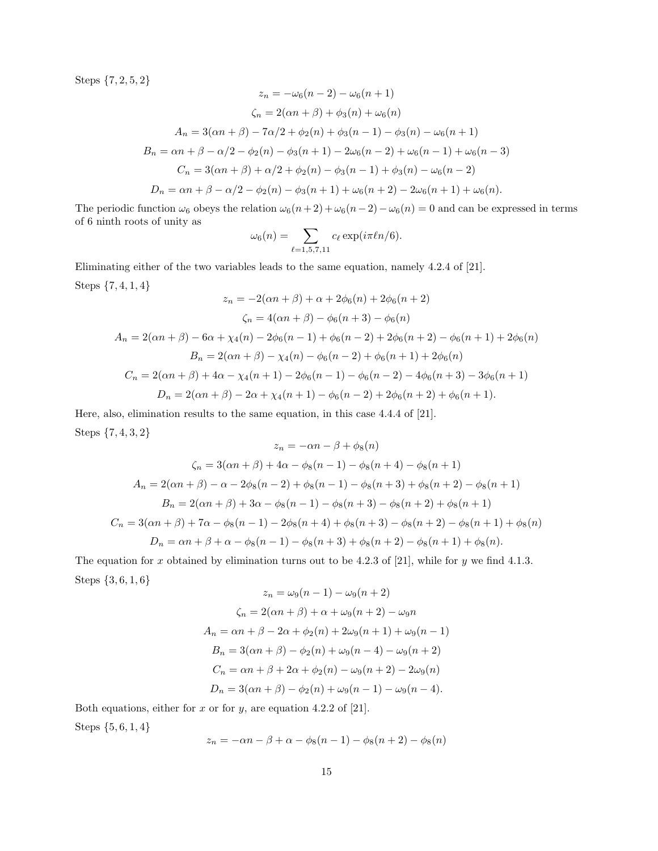Steps {7, 2, 5, 2}

$$
z_n = -\omega_6(n-2) - \omega_6(n+1)
$$
  
\n
$$
\zeta_n = 2(\alpha n + \beta) + \phi_3(n) + \omega_6(n)
$$
  
\n
$$
A_n = 3(\alpha n + \beta) - 7\alpha/2 + \phi_2(n) + \phi_3(n-1) - \phi_3(n) - \omega_6(n+1)
$$
  
\n
$$
B_n = \alpha n + \beta - \alpha/2 - \phi_2(n) - \phi_3(n+1) - 2\omega_6(n-2) + \omega_6(n-1) + \omega_6(n-3)
$$
  
\n
$$
C_n = 3(\alpha n + \beta) + \alpha/2 + \phi_2(n) - \phi_3(n-1) + \phi_3(n) - \omega_6(n-2)
$$
  
\n
$$
D_n = \alpha n + \beta - \alpha/2 - \phi_2(n) - \phi_3(n+1) + \omega_6(n+2) - 2\omega_6(n+1) + \omega_6(n).
$$

The periodic function  $\omega_6$  obeys the relation  $\omega_6(n+2) + \omega_6(n-2) - \omega_6(n) = 0$  and can be expressed in terms of 6 ninth roots of unity as

$$
\omega_6(n) = \sum_{\ell=1,5,7,11} c_{\ell} \exp(i \pi \ell n/6).
$$

Eliminating either of the two variables leads to the same equation, namely 4.2.4 of [21]. Steps {7, 4, 1, 4}  $2(n-1/2)+2+(n+2/6n+2)/(n+2)$ 

$$
z_n = -2(\alpha n + \beta) + \alpha + 2\phi_6(n) + 2\phi_6(n+2)
$$
  
\n
$$
\zeta_n = 4(\alpha n + \beta) - \phi_6(n+3) - \phi_6(n)
$$
  
\n
$$
A_n = 2(\alpha n + \beta) - 6\alpha + \chi_4(n) - 2\phi_6(n-1) + \phi_6(n-2) + 2\phi_6(n+2) - \phi_6(n+1) + 2\phi_6(n)
$$
  
\n
$$
B_n = 2(\alpha n + \beta) - \chi_4(n) - \phi_6(n-2) + \phi_6(n+1) + 2\phi_6(n)
$$
  
\n
$$
C_n = 2(\alpha n + \beta) + 4\alpha - \chi_4(n+1) - 2\phi_6(n-1) - \phi_6(n-2) - 4\phi_6(n+3) - 3\phi_6(n+1)
$$
  
\n
$$
D_n = 2(\alpha n + \beta) - 2\alpha + \chi_4(n+1) - \phi_6(n-2) + 2\phi_6(n+2) + \phi_6(n+1).
$$

Here, also, elimination results to the same equation, in this case 4.4.4 of [21]. Steps {7, 4, 3, 2}

$$
z_n = -\alpha n - \beta + \phi_8(n)
$$
  
\n
$$
\zeta_n = 3(\alpha n + \beta) + 4\alpha - \phi_8(n - 1) - \phi_8(n + 4) - \phi_8(n + 1)
$$
  
\n
$$
A_n = 2(\alpha n + \beta) - \alpha - 2\phi_8(n - 2) + \phi_8(n - 1) - \phi_8(n + 3) + \phi_8(n + 2) - \phi_8(n + 1)
$$
  
\n
$$
B_n = 2(\alpha n + \beta) + 3\alpha - \phi_8(n - 1) - \phi_8(n + 3) - \phi_8(n + 2) + \phi_8(n + 1)
$$
  
\n
$$
C_n = 3(\alpha n + \beta) + 7\alpha - \phi_8(n - 1) - 2\phi_8(n + 4) + \phi_8(n + 3) - \phi_8(n + 2) - \phi_8(n + 1) + \phi_8(n)
$$
  
\n
$$
D_n = \alpha n + \beta + \alpha - \phi_8(n - 1) - \phi_8(n + 3) + \phi_8(n + 2) - \phi_8(n + 1) + \phi_8(n).
$$

The equation for x obtained by elimination turns out to be 4.2.3 of [21], while for y we find 4.1.3. Steps {3, 6, 1, 6}

$$
z_n = \omega_9(n-1) - \omega_9(n+2)
$$
  
\n
$$
\zeta_n = 2(\alpha n + \beta) + \alpha + \omega_9(n+2) - \omega_9 n
$$
  
\n
$$
A_n = \alpha n + \beta - 2\alpha + \phi_2(n) + 2\omega_9(n+1) + \omega_9(n-1)
$$
  
\n
$$
B_n = 3(\alpha n + \beta) - \phi_2(n) + \omega_9(n-4) - \omega_9(n+2)
$$
  
\n
$$
C_n = \alpha n + \beta + 2\alpha + \phi_2(n) - \omega_9(n+2) - 2\omega_9(n)
$$
  
\n
$$
D_n = 3(\alpha n + \beta) - \phi_2(n) + \omega_9(n-1) - \omega_9(n-4).
$$

Both equations, either for  $x$  or for  $y$ , are equation 4.2.2 of [21].

Steps {5, 6, 1, 4}

$$
z_n = -\alpha n - \beta + \alpha - \phi_8(n-1) - \phi_8(n+2) - \phi_8(n)
$$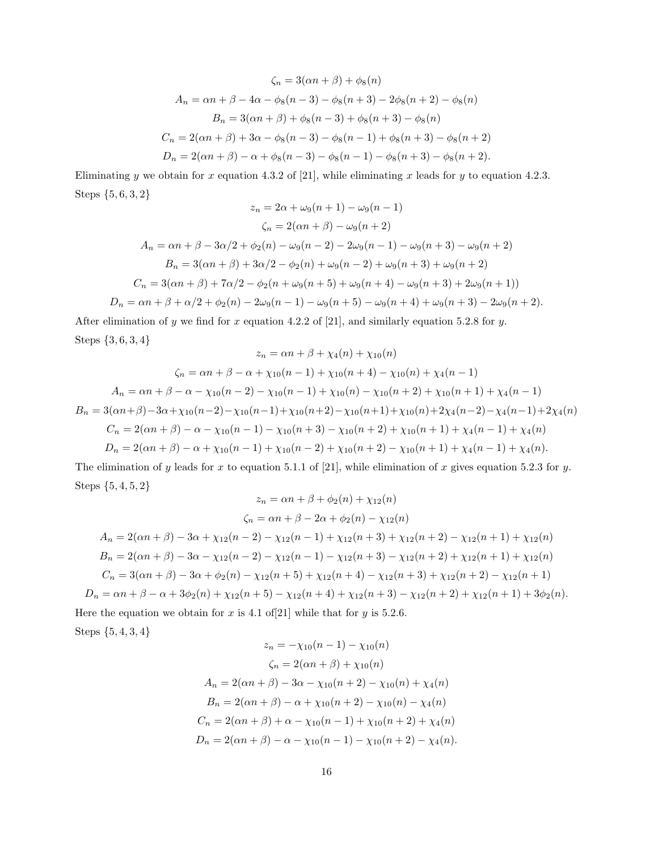$$
\zeta_n = 3(\alpha n + \beta) + \phi_8(n)
$$
  
\n
$$
A_n = \alpha n + \beta - 4\alpha - \phi_8(n - 3) - \phi_8(n + 3) - 2\phi_8(n + 2) - \phi_8(n)
$$
  
\n
$$
B_n = 3(\alpha n + \beta) + \phi_8(n - 3) + \phi_8(n + 3) - \phi_8(n)
$$
  
\n
$$
C_n = 2(\alpha n + \beta) + 3\alpha - \phi_8(n - 3) - \phi_8(n - 1) + \phi_8(n + 3) - \phi_8(n + 2)
$$
  
\n
$$
D_n = 2(\alpha n + \beta) - \alpha + \phi_8(n - 3) - \phi_8(n - 1) - \phi_8(n + 3) - \phi_8(n + 2).
$$

Eliminating y we obtain for x equation 4.3.2 of [21], while eliminating x leads for y to equation 4.2.3. Steps {5, 6, 3, 2}

$$
z_n = 2\alpha + \omega_9(n+1) - \omega_9(n-1)
$$
  
\n
$$
\zeta_n = 2(\alpha n + \beta) - \omega_9(n+2)
$$
  
\n
$$
A_n = \alpha n + \beta - 3\alpha/2 + \phi_2(n) - \omega_9(n-2) - 2\omega_9(n-1) - \omega_9(n+3) - \omega_9(n+2)
$$
  
\n
$$
B_n = 3(\alpha n + \beta) + 3\alpha/2 - \phi_2(n) + \omega_9(n-2) + \omega_9(n+3) + \omega_9(n+2)
$$
  
\n
$$
C_n = 3(\alpha n + \beta) + 7\alpha/2 - \phi_2(n + \omega_9(n+5) + \omega_9(n+4) - \omega_9(n+3) + 2\omega_9(n+1))
$$
  
\n
$$
D_n = \alpha n + \beta + \alpha/2 + \phi_2(n) - 2\omega_9(n-1) - \omega_9(n+5) - \omega_9(n+4) + \omega_9(n+3) - 2\omega_9(n+2).
$$

After elimination of y we find for x equation 4.2.2 of [21], and similarly equation 5.2.8 for y. Steps {3, 6, 3, 4}  $z = \alpha n + \beta + \gamma_4(n) + \gamma_{10}(n)$ 

$$
z_n = \alpha n + \beta + \gamma + \chi_4(n) + \chi_{10}(n)
$$
  
\n
$$
\zeta_n = \alpha n + \beta - \alpha + \chi_{10}(n-1) + \chi_{10}(n+4) - \chi_{10}(n) + \chi_4(n-1)
$$
  
\n
$$
A_n = \alpha n + \beta - \alpha - \chi_{10}(n-2) - \chi_{10}(n-1) + \chi_{10}(n) - \chi_{10}(n+2) + \chi_{10}(n+1) + \chi_4(n-1)
$$
  
\n
$$
B_n = 3(\alpha n + \beta) - 3\alpha + \chi_{10}(n-2) - \chi_{10}(n-1) + \chi_{10}(n+2) - \chi_{10}(n+1) + \chi_{10}(n) + 2\chi_4(n-2) - \chi_4(n-1) + 2\chi_4(n)
$$
  
\n
$$
C_n = 2(\alpha n + \beta) - \alpha - \chi_{10}(n-1) - \chi_{10}(n+3) - \chi_{10}(n+2) + \chi_{10}(n+1) + \chi_4(n-1) + \chi_4(n)
$$
  
\n
$$
D_n = 2(\alpha n + \beta) - \alpha + \chi_{10}(n-1) + \chi_{10}(n-2) + \chi_{10}(n+2) - \chi_{10}(n+1) + \chi_4(n-1) + \chi_4(n).
$$

The elimination of y leads for x to equation 5.1.1 of [21], while elimination of x gives equation 5.2.3 for y. Steps {5, 4, 5, 2}  $z = \alpha n + \beta + \phi_2(n) + \gamma_{12}(n)$ 

$$
z_n = \alpha n + \beta + \varphi_2(n) + \chi_{12}(n)
$$
  
\n
$$
\zeta_n = \alpha n + \beta - 2\alpha + \varphi_2(n) - \chi_{12}(n)
$$
  
\n
$$
A_n = 2(\alpha n + \beta) - 3\alpha + \chi_{12}(n - 2) - \chi_{12}(n - 1) + \chi_{12}(n + 3) + \chi_{12}(n + 2) - \chi_{12}(n + 1) + \chi_{12}(n)
$$
  
\n
$$
B_n = 2(\alpha n + \beta) - 3\alpha - \chi_{12}(n - 2) - \chi_{12}(n - 1) - \chi_{12}(n + 3) - \chi_{12}(n + 2) + \chi_{12}(n + 1) + \chi_{12}(n)
$$
  
\n
$$
C_n = 3(\alpha n + \beta) - 3\alpha + \varphi_2(n) - \chi_{12}(n + 5) + \chi_{12}(n + 4) - \chi_{12}(n + 3) + \chi_{12}(n + 2) - \chi_{12}(n + 1)
$$
  
\n
$$
D_n = \alpha n + \beta - \alpha + 3\varphi_2(n) + \chi_{12}(n + 5) - \chi_{12}(n + 4) + \chi_{12}(n + 3) - \chi_{12}(n + 2) + \chi_{12}(n + 1) + 3\varphi_2(n).
$$
  
\nFor the equation, we obtain for  $x$  is 4.1, of 211, while that for  $y$  is 5.2.6.

Here the equation we obtain for x is 4.1 of [21] while that for y is 5.2.6. Steps {5, 4, 3, 4}  $\left(\begin{array}{ccc} 1 & -1 \end{array}\right)$   $\left(\begin{array}{ccc} 1 & -1 \end{array}\right)$ 

$$
z_n = -\chi_{10}(n-1) - \chi_{10}(n)
$$
  
\n
$$
\zeta_n = 2(\alpha n + \beta) + \chi_{10}(n)
$$
  
\n
$$
A_n = 2(\alpha n + \beta) - 3\alpha - \chi_{10}(n+2) - \chi_{10}(n) + \chi_4(n)
$$
  
\n
$$
B_n = 2(\alpha n + \beta) - \alpha + \chi_{10}(n+2) - \chi_{10}(n) - \chi_4(n)
$$
  
\n
$$
C_n = 2(\alpha n + \beta) + \alpha - \chi_{10}(n-1) + \chi_{10}(n+2) + \chi_4(n)
$$
  
\n
$$
D_n = 2(\alpha n + \beta) - \alpha - \chi_{10}(n-1) - \chi_{10}(n+2) - \chi_4(n).
$$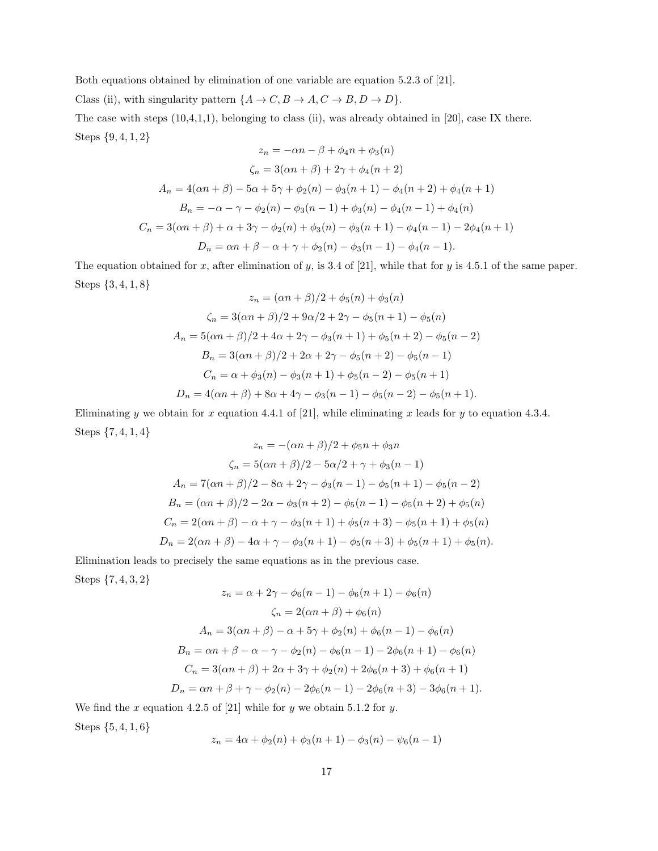Both equations obtained by elimination of one variable are equation 5.2.3 of [21].

Class (ii), with singularity pattern  $\{A \to C, B \to A, C \to B, D \to D\}$ .

The case with steps (10,4,1,1), belonging to class (ii), was already obtained in [20], case IX there. Steps {9, 4, 1, 2}

$$
z_n = -\alpha n - \beta + \phi_4 n + \phi_3(n)
$$
  
\n
$$
\zeta_n = 3(\alpha n + \beta) + 2\gamma + \phi_4(n + 2)
$$
  
\n
$$
A_n = 4(\alpha n + \beta) - 5\alpha + 5\gamma + \phi_2(n) - \phi_3(n + 1) - \phi_4(n + 2) + \phi_4(n + 1)
$$
  
\n
$$
B_n = -\alpha - \gamma - \phi_2(n) - \phi_3(n - 1) + \phi_3(n) - \phi_4(n - 1) + \phi_4(n)
$$
  
\n
$$
C_n = 3(\alpha n + \beta) + \alpha + 3\gamma - \phi_2(n) + \phi_3(n) - \phi_3(n + 1) - \phi_4(n - 1) - 2\phi_4(n + 1)
$$
  
\n
$$
D_n = \alpha n + \beta - \alpha + \gamma + \phi_2(n) - \phi_3(n - 1) - \phi_4(n - 1).
$$

The equation obtained for x, after elimination of y, is 3.4 of [21], while that for y is 4.5.1 of the same paper. Steps {3, 4, 1, 8}  $\ell = \lceil \frac{1}{2} \rceil$ 

$$
z_n = (\alpha n + \beta)/2 + \phi_5(n) + \phi_3(n)
$$
  

$$
\zeta_n = 3(\alpha n + \beta)/2 + 9\alpha/2 + 2\gamma - \phi_5(n + 1) - \phi_5(n)
$$
  

$$
A_n = 5(\alpha n + \beta)/2 + 4\alpha + 2\gamma - \phi_3(n + 1) + \phi_5(n + 2) - \phi_5(n - 2)
$$
  

$$
B_n = 3(\alpha n + \beta)/2 + 2\alpha + 2\gamma - \phi_5(n + 2) - \phi_5(n - 1)
$$
  

$$
C_n = \alpha + \phi_3(n) - \phi_3(n + 1) + \phi_5(n - 2) - \phi_5(n + 1)
$$
  

$$
D_n = 4(\alpha n + \beta) + 8\alpha + 4\gamma - \phi_3(n - 1) - \phi_5(n - 2) - \phi_5(n + 1).
$$

Eliminating y we obtain for x equation 4.4.1 of [21], while eliminating x leads for y to equation 4.3.4. Steps {7, 4, 1, 4}

$$
z_n = -(\alpha n + \beta)/2 + \phi_5 n + \phi_3 n
$$
  
\n
$$
\zeta_n = 5(\alpha n + \beta)/2 - 5\alpha/2 + \gamma + \phi_3(n - 1)
$$
  
\n
$$
A_n = 7(\alpha n + \beta)/2 - 8\alpha + 2\gamma - \phi_3(n - 1) - \phi_5(n + 1) - \phi_5(n - 2)
$$
  
\n
$$
B_n = (\alpha n + \beta)/2 - 2\alpha - \phi_3(n + 2) - \phi_5(n - 1) - \phi_5(n + 2) + \phi_5(n)
$$
  
\n
$$
C_n = 2(\alpha n + \beta) - \alpha + \gamma - \phi_3(n + 1) + \phi_5(n + 3) - \phi_5(n + 1) + \phi_5(n)
$$
  
\n
$$
D_n = 2(\alpha n + \beta) - 4\alpha + \gamma - \phi_3(n + 1) - \phi_5(n + 3) + \phi_5(n + 1) + \phi_5(n).
$$

Elimination leads to precisely the same equations as in the previous case. Steps {7, 4, 3, 2}

$$
z_n = \alpha + 2\gamma - \phi_6(n-1) - \phi_6(n+1) - \phi_6(n)
$$
  
\n
$$
\zeta_n = 2(\alpha n + \beta) + \phi_6(n)
$$
  
\n
$$
A_n = 3(\alpha n + \beta) - \alpha + 5\gamma + \phi_2(n) + \phi_6(n-1) - \phi_6(n)
$$
  
\n
$$
B_n = \alpha n + \beta - \alpha - \gamma - \phi_2(n) - \phi_6(n-1) - 2\phi_6(n+1) - \phi_6(n)
$$
  
\n
$$
C_n = 3(\alpha n + \beta) + 2\alpha + 3\gamma + \phi_2(n) + 2\phi_6(n+3) + \phi_6(n+1)
$$
  
\n
$$
D_n = \alpha n + \beta + \gamma - \phi_2(n) - 2\phi_6(n-1) - 2\phi_6(n+3) - 3\phi_6(n+1).
$$

We find the x equation 4.2.5 of [21] while for y we obtain 5.1.2 for y. Steps {5, 4, 1, 6}

$$
z_n = 4\alpha + \phi_2(n) + \phi_3(n+1) - \phi_3(n) - \psi_6(n-1)
$$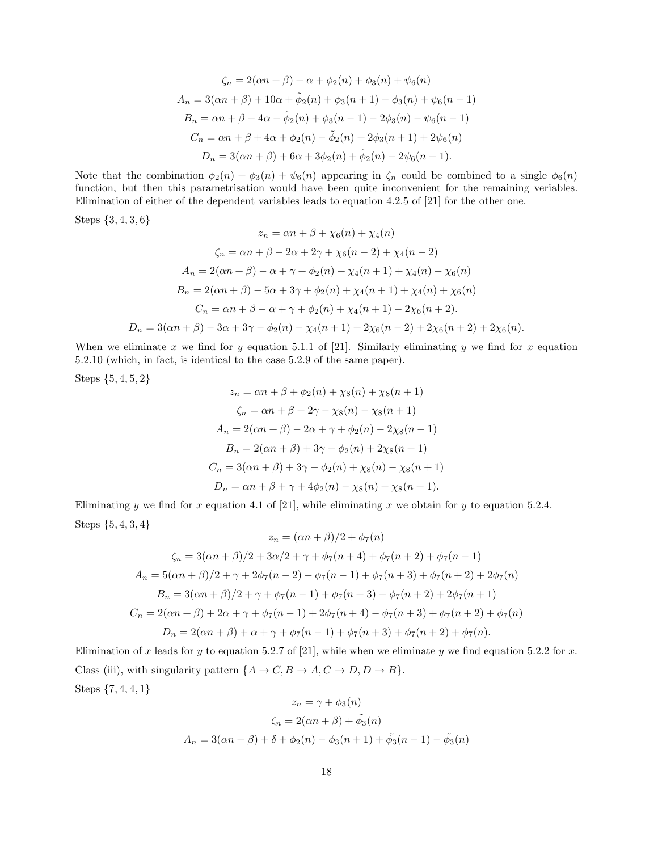$$
\zeta_n = 2(\alpha n + \beta) + \alpha + \phi_2(n) + \phi_3(n) + \psi_6(n)
$$
  
\n
$$
A_n = 3(\alpha n + \beta) + 10\alpha + \tilde{\phi}_2(n) + \phi_3(n + 1) - \phi_3(n) + \psi_6(n - 1)
$$
  
\n
$$
B_n = \alpha n + \beta - 4\alpha - \tilde{\phi}_2(n) + \phi_3(n - 1) - 2\phi_3(n) - \psi_6(n - 1)
$$
  
\n
$$
C_n = \alpha n + \beta + 4\alpha + \phi_2(n) - \tilde{\phi}_2(n) + 2\phi_3(n + 1) + 2\psi_6(n)
$$
  
\n
$$
D_n = 3(\alpha n + \beta) + 6\alpha + 3\phi_2(n) + \tilde{\phi}_2(n) - 2\psi_6(n - 1).
$$

Note that the combination  $\phi_2(n) + \phi_3(n) + \psi_6(n)$  appearing in  $\zeta_n$  could be combined to a single  $\phi_6(n)$ function, but then this parametrisation would have been quite inconvenient for the remaining veriables. Elimination of either of the dependent variables leads to equation 4.2.5 of [21] for the other one.

Steps {3, 4, 3, 6}

$$
z_n = \alpha n + \beta + \chi_6(n) + \chi_4(n)
$$
  
\n
$$
\zeta_n = \alpha n + \beta - 2\alpha + 2\gamma + \chi_6(n - 2) + \chi_4(n - 2)
$$
  
\n
$$
A_n = 2(\alpha n + \beta) - \alpha + \gamma + \phi_2(n) + \chi_4(n + 1) + \chi_4(n) - \chi_6(n)
$$
  
\n
$$
B_n = 2(\alpha n + \beta) - 5\alpha + 3\gamma + \phi_2(n) + \chi_4(n + 1) + \chi_4(n) + \chi_6(n)
$$
  
\n
$$
C_n = \alpha n + \beta - \alpha + \gamma + \phi_2(n) + \chi_4(n + 1) - 2\chi_6(n + 2).
$$
  
\n
$$
D_n = 3(\alpha n + \beta) - 3\alpha + 3\gamma - \phi_2(n) - \chi_4(n + 1) + 2\chi_6(n - 2) + 2\chi_6(n + 2) + 2\chi_6(n).
$$

When we eliminate x we find for y equation 5.1.1 of [21]. Similarly eliminating y we find for x equation 5.2.10 (which, in fact, is identical to the case 5.2.9 of the same paper).

Steps {5, 4, 5, 2}

$$
z_n = \alpha n + \beta + \phi_2(n) + \chi_8(n) + \chi_8(n+1)
$$
  
\n
$$
\zeta_n = \alpha n + \beta + 2\gamma - \chi_8(n) - \chi_8(n+1)
$$
  
\n
$$
A_n = 2(\alpha n + \beta) - 2\alpha + \gamma + \phi_2(n) - 2\chi_8(n-1)
$$
  
\n
$$
B_n = 2(\alpha n + \beta) + 3\gamma - \phi_2(n) + 2\chi_8(n+1)
$$
  
\n
$$
C_n = 3(\alpha n + \beta) + 3\gamma - \phi_2(n) + \chi_8(n) - \chi_8(n+1)
$$
  
\n
$$
D_n = \alpha n + \beta + \gamma + 4\phi_2(n) - \chi_8(n) + \chi_8(n+1).
$$

Eliminating y we find for x equation 4.1 of [21], while eliminating x we obtain for y to equation 5.2.4. Steps {5, 4, 3, 4}

$$
z_n = (\alpha n + \beta)/2 + \phi_7(n)
$$
  
\n
$$
\zeta_n = 3(\alpha n + \beta)/2 + 3\alpha/2 + \gamma + \phi_7(n + 4) + \phi_7(n + 2) + \phi_7(n - 1)
$$
  
\n
$$
A_n = 5(\alpha n + \beta)/2 + \gamma + 2\phi_7(n - 2) - \phi_7(n - 1) + \phi_7(n + 3) + \phi_7(n + 2) + 2\phi_7(n)
$$
  
\n
$$
B_n = 3(\alpha n + \beta)/2 + \gamma + \phi_7(n - 1) + \phi_7(n + 3) - \phi_7(n + 2) + 2\phi_7(n + 1)
$$
  
\n
$$
C_n = 2(\alpha n + \beta) + 2\alpha + \gamma + \phi_7(n - 1) + 2\phi_7(n + 4) - \phi_7(n + 3) + \phi_7(n + 2) + \phi_7(n)
$$
  
\n
$$
D_n = 2(\alpha n + \beta) + \alpha + \gamma + \phi_7(n - 1) + \phi_7(n + 3) + \phi_7(n + 2) + \phi_7(n).
$$

Elimination of x leads for y to equation 5.2.7 of [21], while when we eliminate y we find equation 5.2.2 for x. Class (iii), with singularity pattern  $\{A \to C, B \to A, C \to D, D \to B\}.$ Steps {7, 4, 4, 1}

$$
z_n = \gamma + \phi_3(n)
$$
  

$$
\zeta_n = 2(\alpha n + \beta) + \tilde{\phi}_3(n)
$$
  

$$
A_n = 3(\alpha n + \beta) + \delta + \phi_2(n) - \phi_3(n + 1) + \tilde{\phi}_3(n - 1) - \tilde{\phi}_3(n)
$$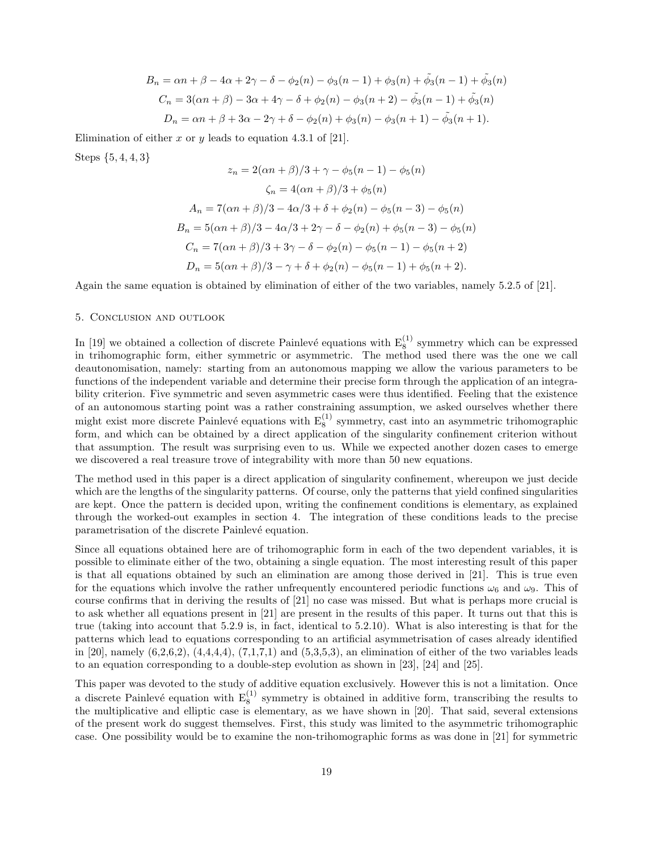$$
B_n = \alpha n + \beta - 4\alpha + 2\gamma - \delta - \phi_2(n) - \phi_3(n-1) + \phi_3(n) + \tilde{\phi}_3(n-1) + \tilde{\phi}_3(n)
$$
  
\n
$$
C_n = 3(\alpha n + \beta) - 3\alpha + 4\gamma - \delta + \phi_2(n) - \phi_3(n+2) - \tilde{\phi}_3(n-1) + \tilde{\phi}_3(n)
$$
  
\n
$$
D_n = \alpha n + \beta + 3\alpha - 2\gamma + \delta - \phi_2(n) + \phi_3(n) - \phi_3(n+1) - \tilde{\phi}_3(n+1).
$$

Elimination of either x or y leads to equation 4.3.1 of [21].

Steps {5, 4, 4, 3}

$$
z_n = 2(\alpha n + \beta)/3 + \gamma - \phi_5(n - 1) - \phi_5(n)
$$
  
\n
$$
\zeta_n = 4(\alpha n + \beta)/3 + \phi_5(n)
$$
  
\n
$$
A_n = 7(\alpha n + \beta)/3 - 4\alpha/3 + \delta + \phi_2(n) - \phi_5(n - 3) - \phi_5(n)
$$
  
\n
$$
B_n = 5(\alpha n + \beta)/3 - 4\alpha/3 + 2\gamma - \delta - \phi_2(n) + \phi_5(n - 3) - \phi_5(n)
$$
  
\n
$$
C_n = 7(\alpha n + \beta)/3 + 3\gamma - \delta - \phi_2(n) - \phi_5(n - 1) - \phi_5(n + 2)
$$
  
\n
$$
D_n = 5(\alpha n + \beta)/3 - \gamma + \delta + \phi_2(n) - \phi_5(n - 1) + \phi_5(n + 2).
$$

Again the same equation is obtained by elimination of either of the two variables, namely 5.2.5 of [21].

# 5. Conclusion and outlook

In [19] we obtained a collection of discrete Painlevé equations with  $E_8^{(1)}$  symmetry which can be expressed in trihomographic form, either symmetric or asymmetric. The method used there was the one we call deautonomisation, namely: starting from an autonomous mapping we allow the various parameters to be functions of the independent variable and determine their precise form through the application of an integrability criterion. Five symmetric and seven asymmetric cases were thus identified. Feeling that the existence of an autonomous starting point was a rather constraining assumption, we asked ourselves whether there might exist more discrete Painlevé equations with  $E_8^{(1)}$  symmetry, cast into an asymmetric trihomographic form, and which can be obtained by a direct application of the singularity confinement criterion without that assumption. The result was surprising even to us. While we expected another dozen cases to emerge we discovered a real treasure trove of integrability with more than 50 new equations.

The method used in this paper is a direct application of singularity confinement, whereupon we just decide which are the lengths of the singularity patterns. Of course, only the patterns that yield confined singularities are kept. Once the pattern is decided upon, writing the confinement conditions is elementary, as explained through the worked-out examples in section 4. The integration of these conditions leads to the precise parametrisation of the discrete Painlevé equation.

Since all equations obtained here are of trihomographic form in each of the two dependent variables, it is possible to eliminate either of the two, obtaining a single equation. The most interesting result of this paper is that all equations obtained by such an elimination are among those derived in [21]. This is true even for the equations which involve the rather unfrequently encountered periodic functions  $\omega_6$  and  $\omega_9$ . This of course confirms that in deriving the results of [21] no case was missed. But what is perhaps more crucial is to ask whether all equations present in [21] are present in the results of this paper. It turns out that this is true (taking into account that 5.2.9 is, in fact, identical to 5.2.10). What is also interesting is that for the patterns which lead to equations corresponding to an artificial asymmetrisation of cases already identified in [20], namely  $(6.2,6.2)$ ,  $(4.4,4.4)$ ,  $(7.1,7.1)$  and  $(5.3,5.3)$ , an elimination of either of the two variables leads to an equation corresponding to a double-step evolution as shown in [23], [24] and [25].

This paper was devoted to the study of additive equation exclusively. However this is not a limitation. Once a discrete Painlevé equation with  $E_8^{(1)}$  symmetry is obtained in additive form, transcribing the results to the multiplicative and elliptic case is elementary, as we have shown in [20]. That said, several extensions of the present work do suggest themselves. First, this study was limited to the asymmetric trihomographic case. One possibility would be to examine the non-trihomographic forms as was done in [21] for symmetric